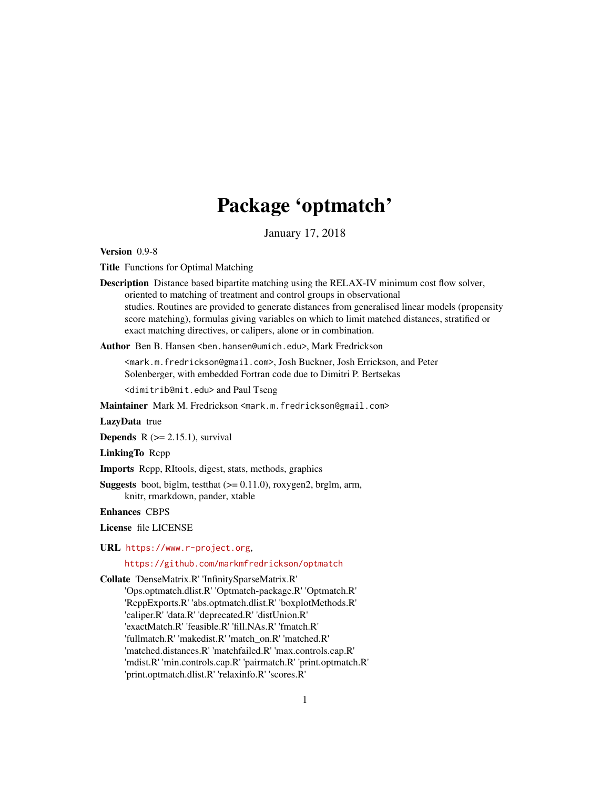# Package 'optmatch'

January 17, 2018

<span id="page-0-0"></span>Version 0.9-8

Title Functions for Optimal Matching

Description Distance based bipartite matching using the RELAX-IV minimum cost flow solver, oriented to matching of treatment and control groups in observational studies. Routines are provided to generate distances from generalised linear models (propensity score matching), formulas giving variables on which to limit matched distances, stratified or exact matching directives, or calipers, alone or in combination.

Author Ben B. Hansen <ben.hansen@umich.edu>, Mark Fredrickson

<mark.m.fredrickson@gmail.com>, Josh Buckner, Josh Errickson, and Peter Solenberger, with embedded Fortran code due to Dimitri P. Bertsekas

<dimitrib@mit.edu> and Paul Tseng

Maintainer Mark M. Fredrickson <mark.m.fredrickson@gmail.com>

LazyData true

**Depends**  $R$  ( $>= 2.15.1$ ), survival

LinkingTo Rcpp

Imports Rcpp, RItools, digest, stats, methods, graphics

**Suggests** boot, biglm, test that  $(>= 0.11.0)$ , roxygen2, brglm, arm, knitr, rmarkdown, pander, xtable

Enhances CBPS

License file LICENSE

URL <https://www.r-project.org>,

<https://github.com/markmfredrickson/optmatch>

Collate 'DenseMatrix.R' 'InfinitySparseMatrix.R'

'Ops.optmatch.dlist.R' 'Optmatch-package.R' 'Optmatch.R' 'RcppExports.R' 'abs.optmatch.dlist.R' 'boxplotMethods.R' 'caliper.R' 'data.R' 'deprecated.R' 'distUnion.R' 'exactMatch.R' 'feasible.R' 'fill.NAs.R' 'fmatch.R' 'fullmatch.R' 'makedist.R' 'match\_on.R' 'matched.R' 'matched.distances.R' 'matchfailed.R' 'max.controls.cap.R' 'mdist.R' 'min.controls.cap.R' 'pairmatch.R' 'print.optmatch.R' 'print.optmatch.dlist.R' 'relaxinfo.R' 'scores.R'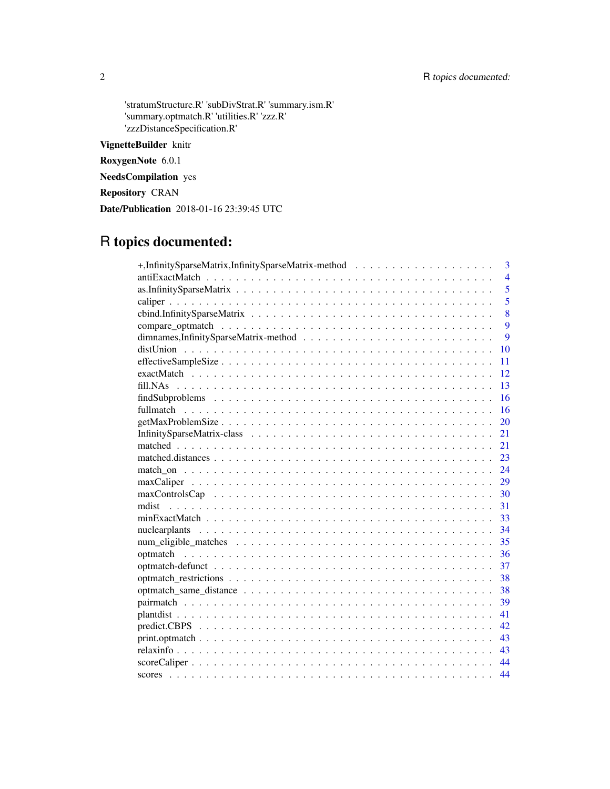'stratumStructure.R' 'subDivStrat.R' 'summary.ism.R' 'summary.optmatch.R' 'utilities.R' 'zzz.R' 'zzzDistanceSpecification.R'

VignetteBuilder knitr

RoxygenNote 6.0.1

NeedsCompilation yes

Repository CRAN

Date/Publication 2018-01-16 23:39:45 UTC

## R topics documented:

| 3                |
|------------------|
| $\overline{4}$   |
| 5                |
| $\overline{5}$   |
| 8                |
| $\boldsymbol{Q}$ |
| 9                |
| 10               |
| 11               |
| 12               |
| 13               |
| 16               |
| 16               |
| 20               |
| 21               |
| 21               |
| 23               |
| 24               |
| 29               |
| 30               |
| 31               |
| 33               |
| 34               |
| 35               |
| 36               |
| 37               |
| 38               |
| 38               |
| 39               |
| 41               |
| 42               |
| 43               |
| 43               |
| 44               |
| 44               |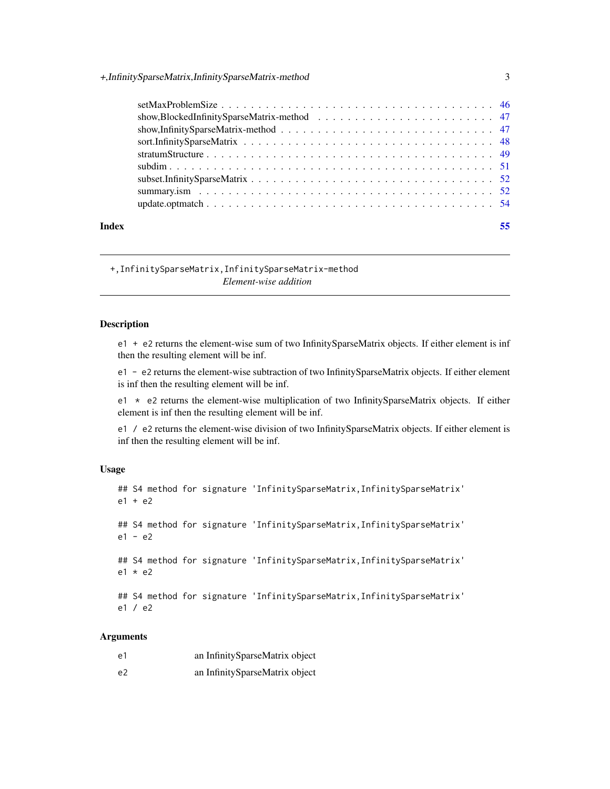<span id="page-2-0"></span>

|       | $setMaxProblemSize \dots \dots \dots \dots \dots \dots \dots \dots \dots \dots \dots \dots \dots \dots \dots \dots \ 46$ |  |
|-------|--------------------------------------------------------------------------------------------------------------------------|--|
|       |                                                                                                                          |  |
|       |                                                                                                                          |  |
|       |                                                                                                                          |  |
|       |                                                                                                                          |  |
|       |                                                                                                                          |  |
|       |                                                                                                                          |  |
|       |                                                                                                                          |  |
|       |                                                                                                                          |  |
| Index |                                                                                                                          |  |

+,InfinitySparseMatrix,InfinitySparseMatrix-method *Element-wise addition*

## Description

e1 + e2 returns the element-wise sum of two InfinitySparseMatrix objects. If either element is inf then the resulting element will be inf.

e1 - e2 returns the element-wise subtraction of two InfinitySparseMatrix objects. If either element is inf then the resulting element will be inf.

e1  $\star$  e2 returns the element-wise multiplication of two InfinitySparseMatrix objects. If either element is inf then the resulting element will be inf.

e1 / e2 returns the element-wise division of two InfinitySparseMatrix objects. If either element is inf then the resulting element will be inf.

#### Usage

```
## S4 method for signature 'InfinitySparseMatrix,InfinitySparseMatrix'
e1 + e2
## S4 method for signature 'InfinitySparseMatrix, InfinitySparseMatrix'
e1 - e2
## S4 method for signature 'InfinitySparseMatrix, InfinitySparseMatrix'
e1 * e2
## S4 method for signature 'InfinitySparseMatrix, InfinitySparseMatrix'
e1 / e2
```
## Arguments

| e1 | an InfinitySparseMatrix object |
|----|--------------------------------|
| e2 | an InfinitySparseMatrix object |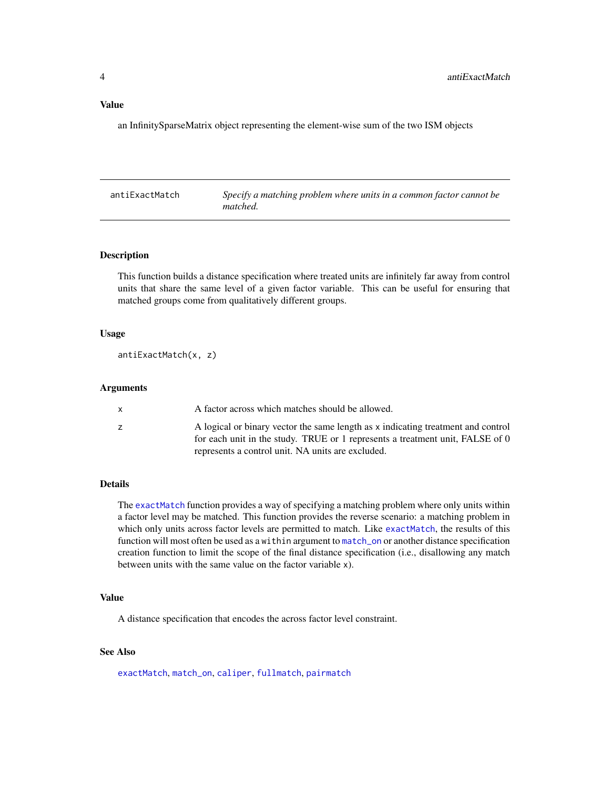## <span id="page-3-0"></span>Value

an InfinitySparseMatrix object representing the element-wise sum of the two ISM objects

<span id="page-3-1"></span>

| antiExactMatch | Specify a matching problem where units in a common factor cannot be |
|----------------|---------------------------------------------------------------------|
|                | matched.                                                            |

## Description

This function builds a distance specification where treated units are infinitely far away from control units that share the same level of a given factor variable. This can be useful for ensuring that matched groups come from qualitatively different groups.

## Usage

antiExactMatch(x, z)

### Arguments

| A factor across which matches should be allowed.                                                                                                                  |
|-------------------------------------------------------------------------------------------------------------------------------------------------------------------|
| A logical or binary vector the same length as x indicating treatment and control<br>for each unit in the study. TRUE or 1 represents a treatment unit, FALSE of 0 |
| represents a control unit. NA units are excluded.                                                                                                                 |

#### Details

The [exactMatch](#page-11-1) function provides a way of specifying a matching problem where only units within a factor level may be matched. This function provides the reverse scenario: a matching problem in which only units across factor levels are permitted to match. Like [exactMatch](#page-11-1), the results of this function will most often be used as a within argument to [match\\_on](#page-23-1) or another distance specification creation function to limit the scope of the final distance specification (i.e., disallowing any match between units with the same value on the factor variable x).

## Value

A distance specification that encodes the across factor level constraint.

## See Also

[exactMatch](#page-11-1), [match\\_on](#page-23-1), [caliper](#page-4-1), [fullmatch](#page-15-1), [pairmatch](#page-38-1)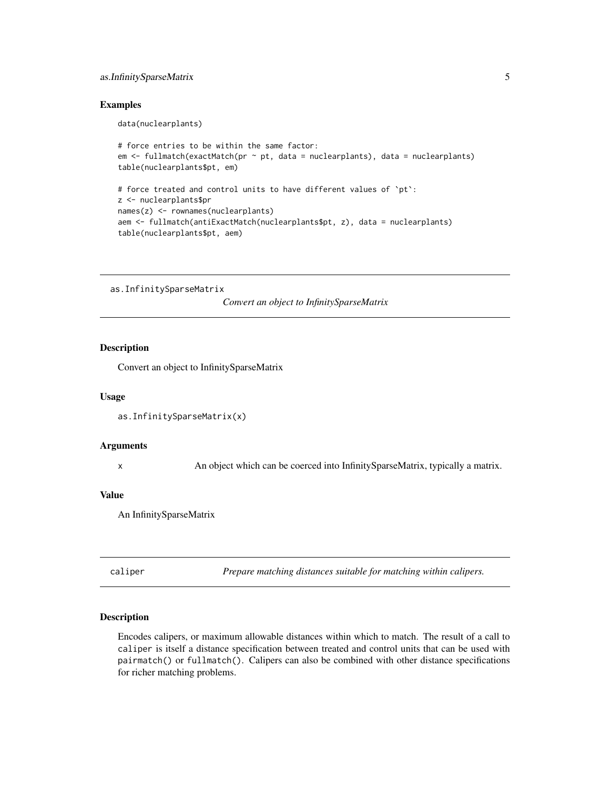## <span id="page-4-0"></span>as.InfinitySparseMatrix 5

## Examples

data(nuclearplants)

```
# force entries to be within the same factor:
em <- fullmatch(exactMatch(pr ~ pt, data = nuclearplants), data = nuclearplants)
table(nuclearplants$pt, em)
# force treated and control units to have different values of `pt`:
z <- nuclearplants$pr
names(z) <- rownames(nuclearplants)
aem <- fullmatch(antiExactMatch(nuclearplants$pt, z), data = nuclearplants)
table(nuclearplants$pt, aem)
```
as.InfinitySparseMatrix

*Convert an object to InfinitySparseMatrix*

## Description

Convert an object to InfinitySparseMatrix

#### Usage

```
as.InfinitySparseMatrix(x)
```
#### Arguments

x An object which can be coerced into InfinitySparseMatrix, typically a matrix.

#### Value

An InfinitySparseMatrix

<span id="page-4-1"></span>caliper *Prepare matching distances suitable for matching within calipers.*

#### Description

Encodes calipers, or maximum allowable distances within which to match. The result of a call to caliper is itself a distance specification between treated and control units that can be used with pairmatch() or fullmatch(). Calipers can also be combined with other distance specifications for richer matching problems.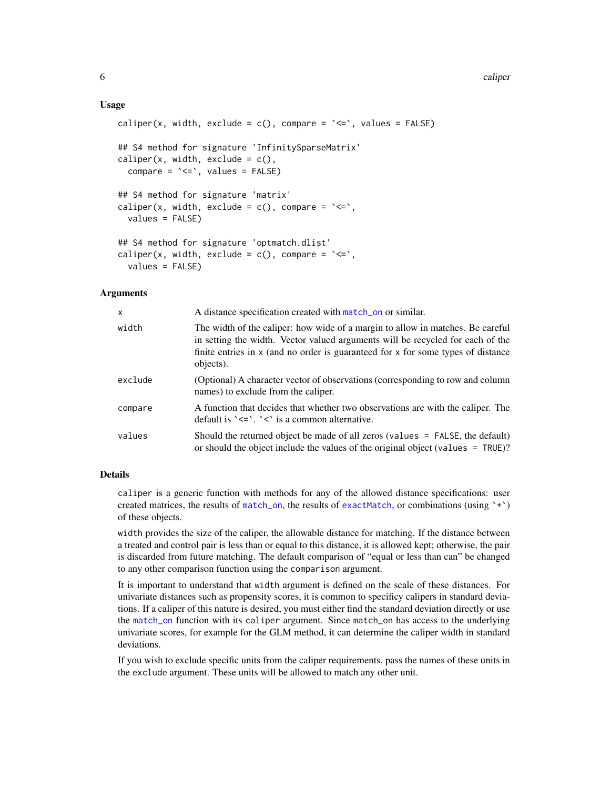#### <span id="page-5-0"></span>Usage

```
caliper(x, width, exclude = c(), compare = \leq \leq \leq, values = FALSE)
## S4 method for signature 'InfinitySparseMatrix'
caliper(x, width, exclude = c(),
  compare = \leq \leq \leq \leq \leq \leq \leq \leq \leq \leq \leq \leq \leq \leq \leq \leq \leq \leq \leq \leq \leq \leq \leq \leq \leq \leq \leq \leq \leq \leq \leq \leq \leq \leq \leq ## S4 method for signature 'matrix'
caliper(x, width, exclude = c(), compare = \leq \leq,
  values = FALSE)
## S4 method for signature 'optmatch.dlist'
caliper(x, width, exclude = c(), compare = \leq \leq,
   values = FALSE)
```
#### Arguments

| $\mathsf{x}$ | A distance specification created with match_on or similar.                                                                                                                                                                                                        |
|--------------|-------------------------------------------------------------------------------------------------------------------------------------------------------------------------------------------------------------------------------------------------------------------|
| width        | The width of the caliper: how wide of a margin to allow in matches. Be careful<br>in setting the width. Vector valued arguments will be recycled for each of the<br>finite entries in x (and no order is guaranteed for x for some types of distance<br>objects). |
| exclude      | (Optional) A character vector of observations (corresponding to row and column<br>names) to exclude from the caliper.                                                                                                                                             |
| compare      | A function that decides that whether two observations are with the caliper. The<br>default is $\leq$ $\leq$ $\leq$ $\leq$ is a common alternative.                                                                                                                |
| values       | Should the returned object be made of all zeros (values $=$ FALSE, the default)<br>or should the object include the values of the original object (values = TRUE)?                                                                                                |

### Details

caliper is a generic function with methods for any of the allowed distance specifications: user created matrices, the results of [match\\_on](#page-23-1), the results of [exactMatch](#page-11-1), or combinations (using  $\rightarrow\rightarrow$ ) of these objects.

width provides the size of the caliper, the allowable distance for matching. If the distance between a treated and control pair is less than or equal to this distance, it is allowed kept; otherwise, the pair is discarded from future matching. The default comparison of "equal or less than can" be changed to any other comparison function using the comparison argument.

It is important to understand that width argument is defined on the scale of these distances. For univariate distances such as propensity scores, it is common to specificy calipers in standard deviations. If a caliper of this nature is desired, you must either find the standard deviation directly or use the [match\\_on](#page-23-1) function with its caliper argument. Since match\_on has access to the underlying univariate scores, for example for the GLM method, it can determine the caliper width in standard deviations.

If you wish to exclude specific units from the caliper requirements, pass the names of these units in the exclude argument. These units will be allowed to match any other unit.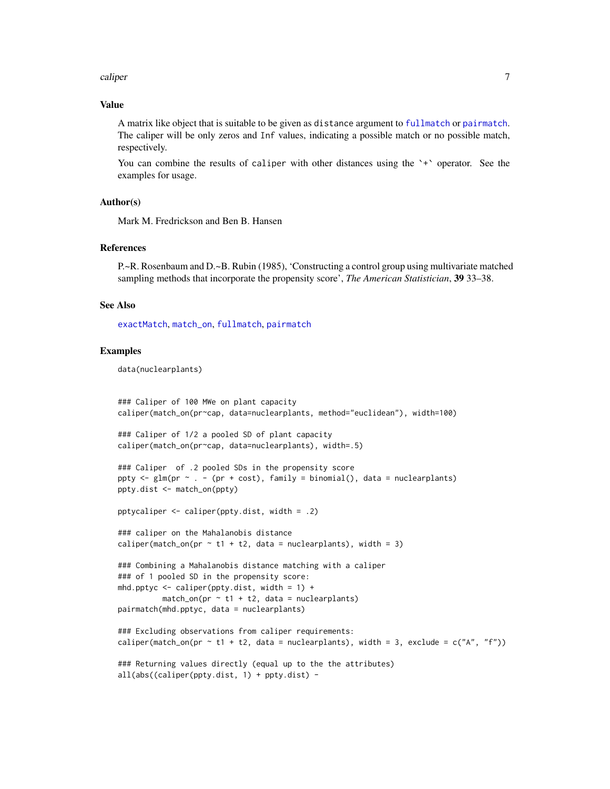#### <span id="page-6-0"></span>caliper 7 and 2012 12:00 the calibration of the contract of the contract of the contract of the contract of the contract of the contract of the contract of the contract of the contract of the contract of the contract of th

#### Value

A matrix like object that is suitable to be given as distance argument to [fullmatch](#page-15-1) or [pairmatch](#page-38-1). The caliper will be only zeros and Inf values, indicating a possible match or no possible match, respectively.

You can combine the results of caliper with other distances using the '+' operator. See the examples for usage.

#### Author(s)

Mark M. Fredrickson and Ben B. Hansen

#### References

P.~R. Rosenbaum and D.~B. Rubin (1985), 'Constructing a control group using multivariate matched sampling methods that incorporate the propensity score', *The American Statistician*, 39 33–38.

#### See Also

[exactMatch](#page-11-1), [match\\_on](#page-23-1), [fullmatch](#page-15-1), [pairmatch](#page-38-1)

#### Examples

data(nuclearplants)

```
### Caliper of 100 MWe on plant capacity
caliper(match_on(pr~cap, data=nuclearplants, method="euclidean"), width=100)
### Caliper of 1/2 a pooled SD of plant capacity
caliper(match_on(pr~cap, data=nuclearplants), width=.5)
### Caliper of .2 pooled SDs in the propensity score
ppty \leq glm(pr \sim . - (pr + cost), family = binomial(), data = nuclearplants)
ppty.dist <- match_on(ppty)
pptycaliper <- caliper(ppty.dist, width = .2)
### caliper on the Mahalanobis distance
caliper(match_on(pr \sim t1 + t2, data = nuclearplants), width = 3)
### Combining a Mahalanobis distance matching with a caliper
### of 1 pooled SD in the propensity score:
mhd.pptyc \leq caliper(ppty.dist, width = 1) +
         match\_on(pr \sim t1 + t2, data = nuclearplants)pairmatch(mhd.pptyc, data = nuclearplants)
### Excluding observations from caliper requirements:
caliper(match_on(pr ~ t1 + t2, data = nuclearplants), width = 3, exclude = c("A", "f"))
### Returning values directly (equal up to the the attributes)
all(abs((caliper(ppty.dist, 1) + ppty.dist) -
```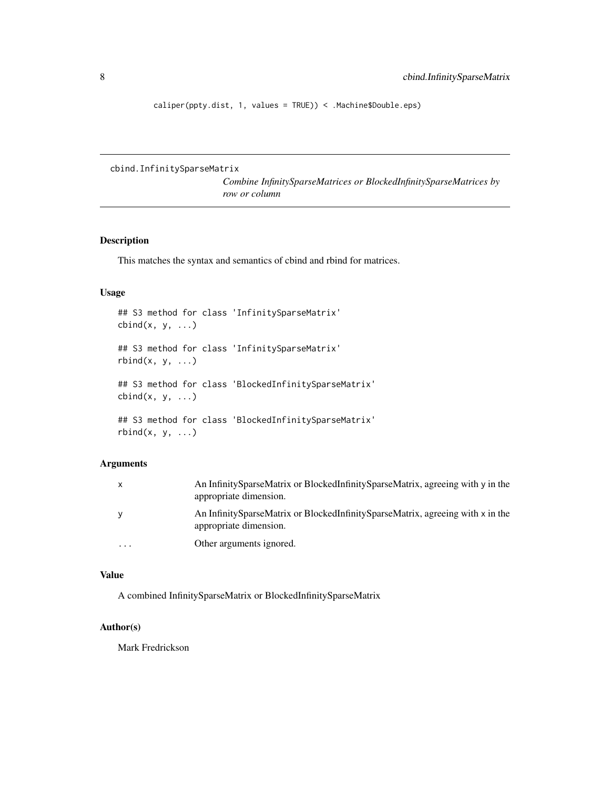<span id="page-7-0"></span>caliper(ppty.dist, 1, values = TRUE)) < .Machine\$Double.eps)

cbind.InfinitySparseMatrix

*Combine InfinitySparseMatrices or BlockedInfinitySparseMatrices by row or column*

## Description

This matches the syntax and semantics of cbind and rbind for matrices.

## Usage

```
## S3 method for class 'InfinitySparseMatrix'
cbind(x, y, ...)## S3 method for class 'InfinitySparseMatrix'
rbind(x, y, ...)## S3 method for class 'BlockedInfinitySparseMatrix'
cbind(x, y, \ldots)## S3 method for class 'BlockedInfinitySparseMatrix'
rbind(x, y, ...)
```
## Arguments

| $\mathsf{x}$ | An Infinity Sparse Matrix or Blocked Infinity Sparse Matrix, agreeing with y in the<br>appropriate dimension. |
|--------------|---------------------------------------------------------------------------------------------------------------|
| y            | An InfinitySparseMatrix or BlockedInfinitySparseMatrix, agreeing with x in the<br>appropriate dimension.      |
| .            | Other arguments ignored.                                                                                      |

## Value

A combined InfinitySparseMatrix or BlockedInfinitySparseMatrix

## Author(s)

Mark Fredrickson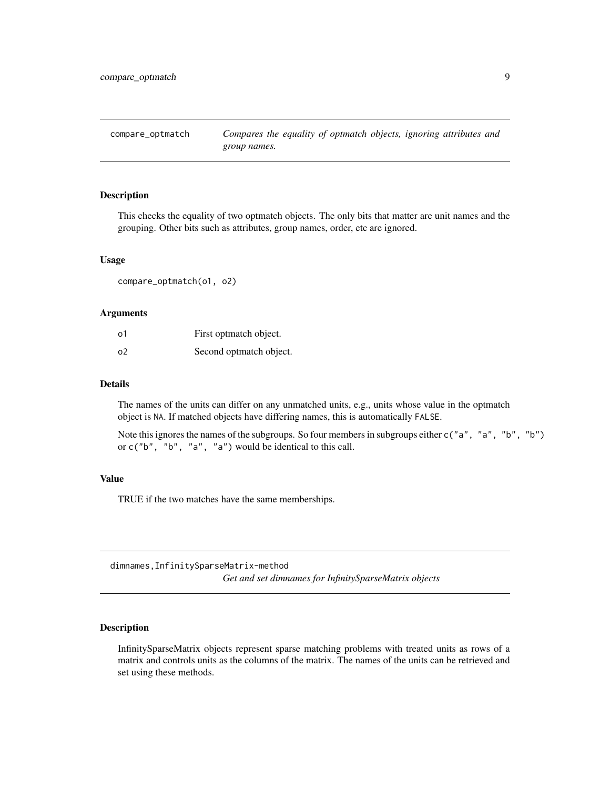<span id="page-8-0"></span>compare\_optmatch *Compares the equality of optmatch objects, ignoring attributes and group names.*

#### Description

This checks the equality of two optmatch objects. The only bits that matter are unit names and the grouping. Other bits such as attributes, group names, order, etc are ignored.

#### Usage

compare\_optmatch(o1, o2)

#### Arguments

| о1 | First optmatch object.  |
|----|-------------------------|
| ο2 | Second optmatch object. |

## Details

The names of the units can differ on any unmatched units, e.g., units whose value in the optmatch object is NA. If matched objects have differing names, this is automatically FALSE.

Note this ignores the names of the subgroups. So four members in subgroups either c("a", "a", "b", "b") or c("b", "b", "a", "a") would be identical to this call.

#### Value

TRUE if the two matches have the same memberships.

dimnames,InfinitySparseMatrix-method *Get and set dimnames for InfinitySparseMatrix objects*

## Description

InfinitySparseMatrix objects represent sparse matching problems with treated units as rows of a matrix and controls units as the columns of the matrix. The names of the units can be retrieved and set using these methods.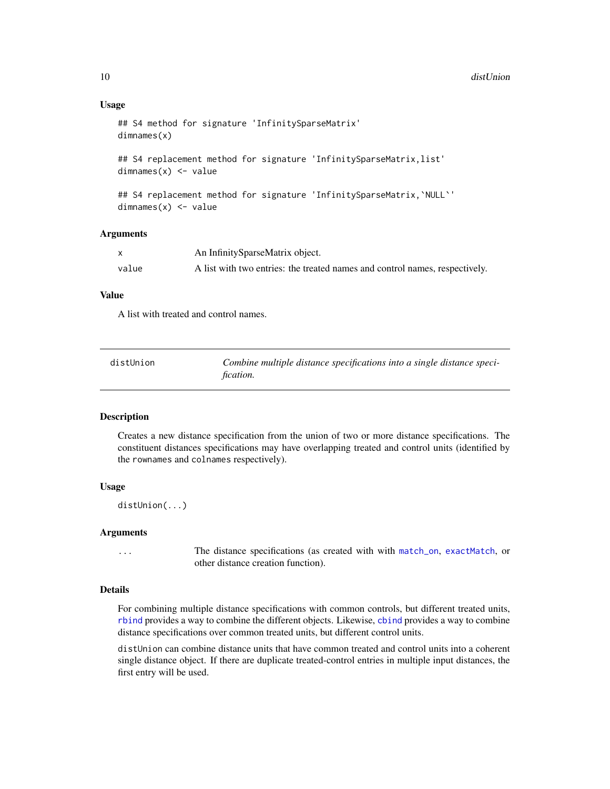#### Usage

```
## S4 method for signature 'InfinitySparseMatrix'
dimnames(x)
```
## S4 replacement method for signature 'InfinitySparseMatrix,list'  $dimnames(x)$  <- value

```
## S4 replacement method for signature 'InfinitySparseMatrix, `NULL`'
dimnames(x) <- value
```
#### Arguments

|       | An InfinitySparseMatrix object.                                             |
|-------|-----------------------------------------------------------------------------|
| value | A list with two entries: the treated names and control names, respectively. |

## Value

A list with treated and control names.

| distUnion | Combine multiple distance specifications into a single distance speci- |
|-----------|------------------------------------------------------------------------|
|           | fication.                                                              |

## **Description**

Creates a new distance specification from the union of two or more distance specifications. The constituent distances specifications may have overlapping treated and control units (identified by the rownames and colnames respectively).

## Usage

distUnion(...)

#### Arguments

... The distance specifications (as created with with [match\\_on](#page-23-1), [exactMatch](#page-11-1), or other distance creation function).

## Details

For combining multiple distance specifications with common controls, but different treated units, [rbind](#page-0-0) provides a way to combine the different objects. Likewise, [cbind](#page-0-0) provides a way to combine distance specifications over common treated units, but different control units.

distUnion can combine distance units that have common treated and control units into a coherent single distance object. If there are duplicate treated-control entries in multiple input distances, the first entry will be used.

<span id="page-9-0"></span>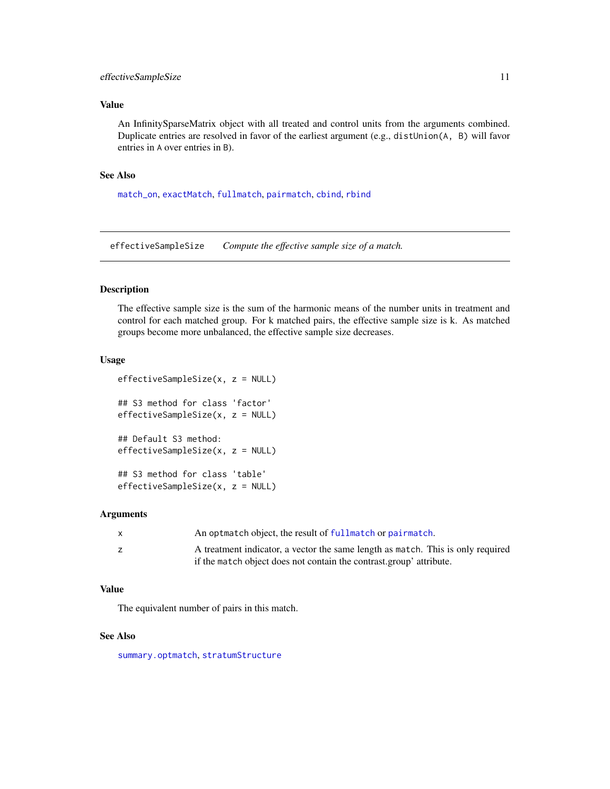## <span id="page-10-0"></span>effectiveSampleSize 11

## Value

An InfinitySparseMatrix object with all treated and control units from the arguments combined. Duplicate entries are resolved in favor of the earliest argument (e.g., distUnion(A, B) will favor entries in A over entries in B).

## See Also

[match\\_on](#page-23-1), [exactMatch](#page-11-1), [fullmatch](#page-15-1), [pairmatch](#page-38-1), [cbind](#page-0-0), [rbind](#page-0-0)

effectiveSampleSize *Compute the effective sample size of a match.*

## Description

The effective sample size is the sum of the harmonic means of the number units in treatment and control for each matched group. For k matched pairs, the effective sample size is k. As matched groups become more unbalanced, the effective sample size decreases.

#### Usage

```
effectiveSampleSize(x, z = NULL)
## S3 method for class 'factor'
effectiveSampleSize(x, z = NULL)
## Default S3 method:
effectiveSampleSize(x, z = NULL)
## S3 method for class 'table'
effectiveSampleSize(x, z = NULL)
```
#### **Arguments**

| X | An optmatch object, the result of fullmatch or pairmatch.                       |
|---|---------------------------------------------------------------------------------|
|   | A treatment indicator, a vector the same length as match. This is only required |
|   | if the match object does not contain the contrast group' attribute.             |

## Value

The equivalent number of pairs in this match.

## See Also

[summary.optmatch](#page-35-1), [stratumStructure](#page-48-1)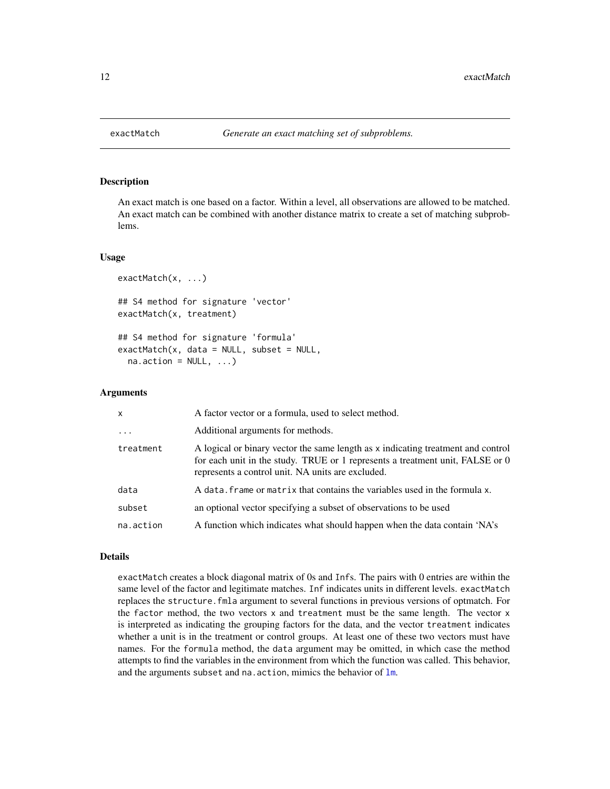## Description

An exact match is one based on a factor. Within a level, all observations are allowed to be matched. An exact match can be combined with another distance matrix to create a set of matching subproblems.

#### Usage

```
exactMatch(x, ...)
## S4 method for signature 'vector'
exactMatch(x, treatment)
## S4 method for signature 'formula'
exactMatch(x, data = NULL, subset = NULL,na. action = NULL, ...)
```
## Arguments

| $\mathsf{x}$ | A factor vector or a formula, used to select method.                                                                                                                                                                   |
|--------------|------------------------------------------------------------------------------------------------------------------------------------------------------------------------------------------------------------------------|
| $\cdot$      | Additional arguments for methods.                                                                                                                                                                                      |
| treatment    | A logical or binary vector the same length as x indicating treatment and control<br>for each unit in the study. TRUE or 1 represents a treatment unit, FALSE or 0<br>represents a control unit. NA units are excluded. |
| data         | A data, frame or matrix that contains the variables used in the formula x.                                                                                                                                             |
| subset       | an optional vector specifying a subset of observations to be used                                                                                                                                                      |
| na.action    | A function which indicates what should happen when the data contain 'NA's                                                                                                                                              |

## Details

exactMatch creates a block diagonal matrix of 0s and Infs. The pairs with 0 entries are within the same level of the factor and legitimate matches. Inf indicates units in different levels. exactMatch replaces the structure.fmla argument to several functions in previous versions of optmatch. For the factor method, the two vectors x and treatment must be the same length. The vector x is interpreted as indicating the grouping factors for the data, and the vector treatment indicates whether a unit is in the treatment or control groups. At least one of these two vectors must have names. For the formula method, the data argument may be omitted, in which case the method attempts to find the variables in the environment from which the function was called. This behavior, and the arguments subset and na. action, mimics the behavior of  $lm$ .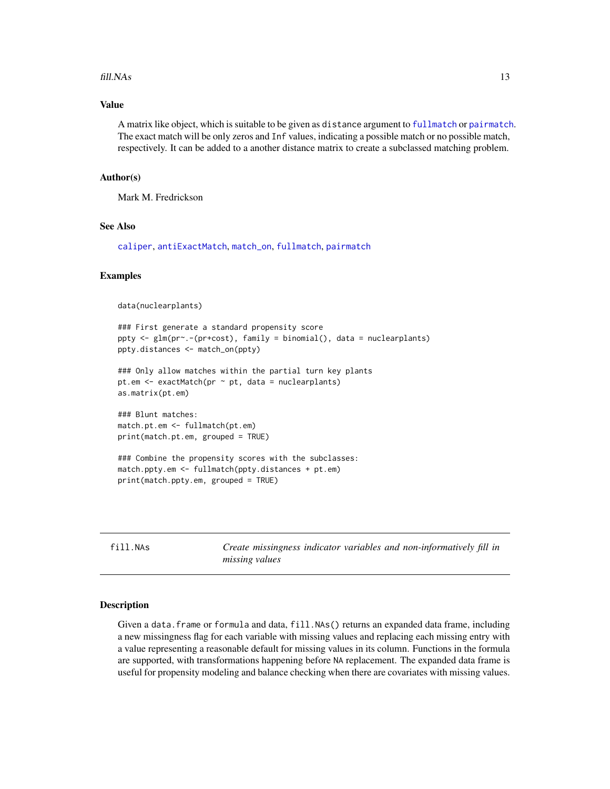#### <span id="page-12-0"></span> $fill.$ NAs  $13$

## Value

A matrix like object, which is suitable to be given as distance argument to [fullmatch](#page-15-1) or [pairmatch](#page-38-1). The exact match will be only zeros and Inf values, indicating a possible match or no possible match, respectively. It can be added to a another distance matrix to create a subclassed matching problem.

#### Author(s)

Mark M. Fredrickson

#### See Also

[caliper](#page-4-1), [antiExactMatch](#page-3-1), [match\\_on](#page-23-1), [fullmatch](#page-15-1), [pairmatch](#page-38-1)

## Examples

```
data(nuclearplants)
```

```
### First generate a standard propensity score
ppty <- glm(pr~.-(pr+cost), family = binomial(), data = nuclearplants)
ppty.distances <- match_on(ppty)
```

```
### Only allow matches within the partial turn key plants
pt.em <- exactMatch(pr ~ pt, data = nuclearplants)
as.matrix(pt.em)
```
### Blunt matches: match.pt.em <- fullmatch(pt.em) print(match.pt.em, grouped = TRUE)

```
### Combine the propensity scores with the subclasses:
match.ppty.em <- fullmatch(ppty.distances + pt.em)
print(match.ppty.em, grouped = TRUE)
```
<span id="page-12-1"></span>fill.NAs *Create missingness indicator variables and non-informatively fill in missing values*

#### Description

Given a data. frame or formula and data, fill.NAs() returns an expanded data frame, including a new missingness flag for each variable with missing values and replacing each missing entry with a value representing a reasonable default for missing values in its column. Functions in the formula are supported, with transformations happening before NA replacement. The expanded data frame is useful for propensity modeling and balance checking when there are covariates with missing values.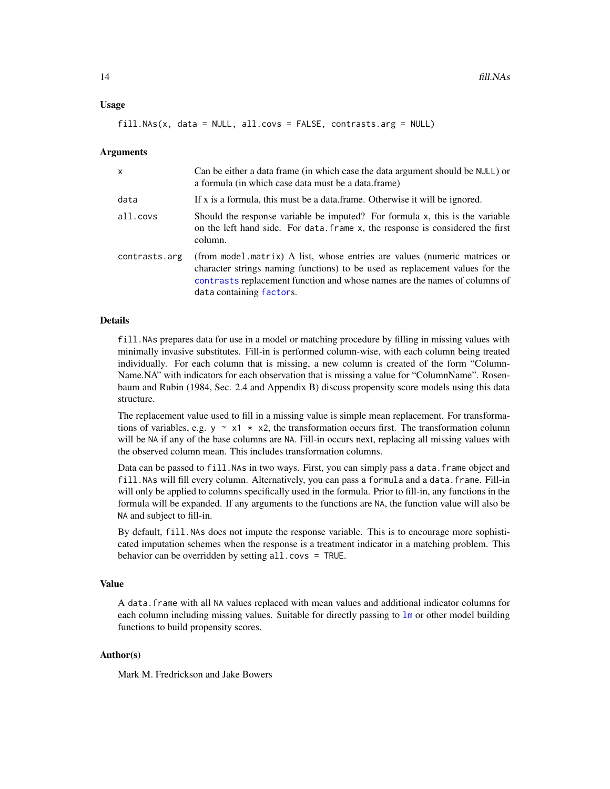#### <span id="page-13-0"></span>Usage

fill.NAs(x, data = NULL, all.covs = FALSE, contrasts.arg = NULL)

#### Arguments

| X             | Can be either a data frame (in which case the data argument should be NULL) or<br>a formula (in which case data must be a data.frame)                                                                                                                               |
|---------------|---------------------------------------------------------------------------------------------------------------------------------------------------------------------------------------------------------------------------------------------------------------------|
| data          | If x is a formula, this must be a data frame. Otherwise it will be ignored.                                                                                                                                                                                         |
| all.covs      | Should the response variable be imputed? For formula x, this is the variable<br>on the left hand side. For data. frame x, the response is considered the first<br>column.                                                                                           |
| contrasts.arg | (from model matrix) A list, whose entries are values (numeric matrices or<br>character strings naming functions) to be used as replacement values for the<br>contrasts replacement function and whose names are the names of columns of<br>data containing factors. |

#### Details

fill.NAs prepares data for use in a model or matching procedure by filling in missing values with minimally invasive substitutes. Fill-in is performed column-wise, with each column being treated individually. For each column that is missing, a new column is created of the form "Column-Name.NA" with indicators for each observation that is missing a value for "ColumnName". Rosenbaum and Rubin (1984, Sec. 2.4 and Appendix B) discuss propensity score models using this data structure.

The replacement value used to fill in a missing value is simple mean replacement. For transformations of variables, e.g.  $y \sim x1 \star x2$ , the transformation occurs first. The transformation column will be NA if any of the base columns are NA. Fill-in occurs next, replacing all missing values with the observed column mean. This includes transformation columns.

Data can be passed to fill. NAs in two ways. First, you can simply pass a data. frame object and fill.NAs will fill every column. Alternatively, you can pass a formula and a data.frame. Fill-in will only be applied to columns specifically used in the formula. Prior to fill-in, any functions in the formula will be expanded. If any arguments to the functions are NA, the function value will also be NA and subject to fill-in.

By default, fill.NAs does not impute the response variable. This is to encourage more sophisticated imputation schemes when the response is a treatment indicator in a matching problem. This behavior can be overridden by setting all.covs = TRUE.

#### Value

A data.frame with all NA values replaced with mean values and additional indicator columns for each column including missing values. Suitable for directly passing to 1m or other model building functions to build propensity scores.

## Author(s)

Mark M. Fredrickson and Jake Bowers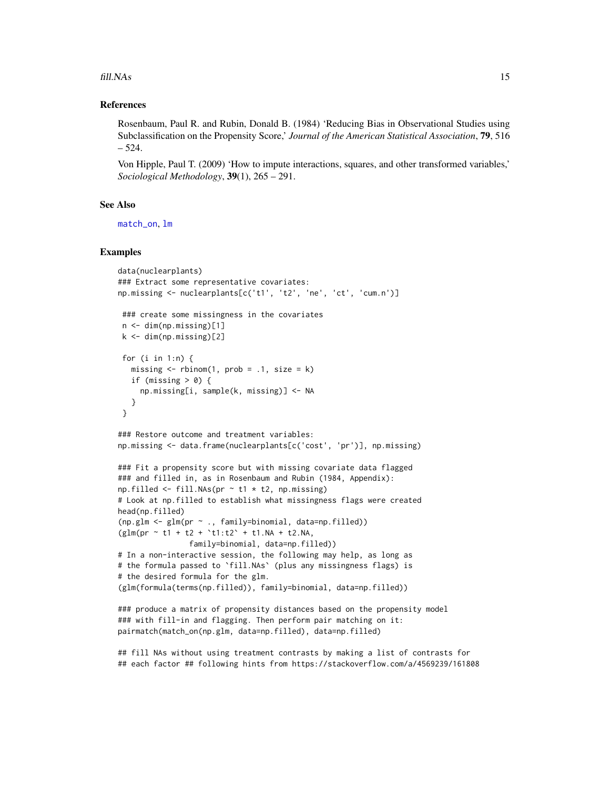<span id="page-14-0"></span>fill. NAs 15

## References

Rosenbaum, Paul R. and Rubin, Donald B. (1984) 'Reducing Bias in Observational Studies using Subclassification on the Propensity Score,' *Journal of the American Statistical Association*, 79, 516 – 524.

Von Hipple, Paul T. (2009) 'How to impute interactions, squares, and other transformed variables,' *Sociological Methodology*, 39(1), 265 – 291.

#### See Also

[match\\_on](#page-23-1), [lm](#page-0-0)

## Examples

```
data(nuclearplants)
### Extract some representative covariates:
np.missing <- nuclearplants[c('t1', 't2', 'ne', 'ct', 'cum.n')]
 ### create some missingness in the covariates
 n <- dim(np.missing)[1]
k \le -\dim(np.missing)[2]for (i in 1:n) {
  missing \le rbinom(1, prob = .1, size = k)
  if (missing > 0) {
     np.missing[i, sample(k, missing)] <- NA
  }
 }
### Restore outcome and treatment variables:
np.missing <- data.frame(nuclearplants[c('cost', 'pr')], np.missing)
### Fit a propensity score but with missing covariate data flagged
### and filled in, as in Rosenbaum and Rubin (1984, Appendix):
np.filled \leftarrow fill.NAs(pr \sim t1 \times t2, np.missing)# Look at np.filled to establish what missingness flags were created
head(np.filled)
(np.glm <- glm(pr ~ ., family=binomial, data=np.filled))
(glm(pr \sim t1 + t2 + \text{'t1:t2'} + t1.NA + t2.NA,family=binomial, data=np.filled))
# In a non-interactive session, the following may help, as long as
# the formula passed to `fill.NAs` (plus any missingness flags) is
# the desired formula for the glm.
(glm(formula(terms(np.filled)), family=binomial, data=np.filled))
### produce a matrix of propensity distances based on the propensity model
### with fill-in and flagging. Then perform pair matching on it:
pairmatch(match_on(np.glm, data=np.filled), data=np.filled)
## fill NAs without using treatment contrasts by making a list of contrasts for
```
## each factor ## following hints from https://stackoverflow.com/a/4569239/161808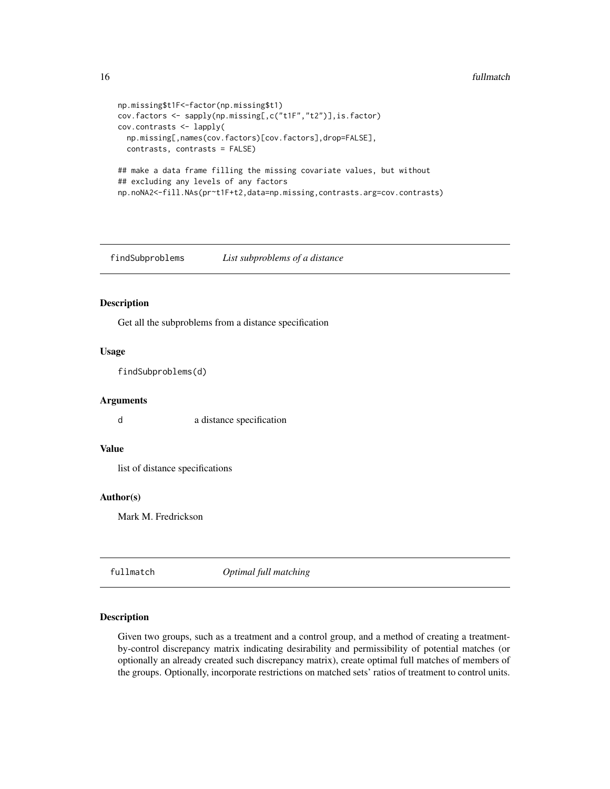```
np.missing$t1F<-factor(np.missing$t1)
cov.factors <- sapply(np.missing[,c("t1F","t2")],is.factor)
cov.contrasts <- lapply(
 np.missing[,names(cov.factors)[cov.factors],drop=FALSE],
  contrasts, contrasts = FALSE)
## make a data frame filling the missing covariate values, but without
## excluding any levels of any factors
np.noNA2<-fill.NAs(pr~t1F+t2,data=np.missing,contrasts.arg=cov.contrasts)
```
<span id="page-15-2"></span>findSubproblems *List subproblems of a distance*

## Description

Get all the subproblems from a distance specification

## Usage

findSubproblems(d)

## Arguments

d a distance specification

## Value

list of distance specifications

## Author(s)

Mark M. Fredrickson

<span id="page-15-1"></span>fullmatch *Optimal full matching*

## Description

Given two groups, such as a treatment and a control group, and a method of creating a treatmentby-control discrepancy matrix indicating desirability and permissibility of potential matches (or optionally an already created such discrepancy matrix), create optimal full matches of members of the groups. Optionally, incorporate restrictions on matched sets' ratios of treatment to control units.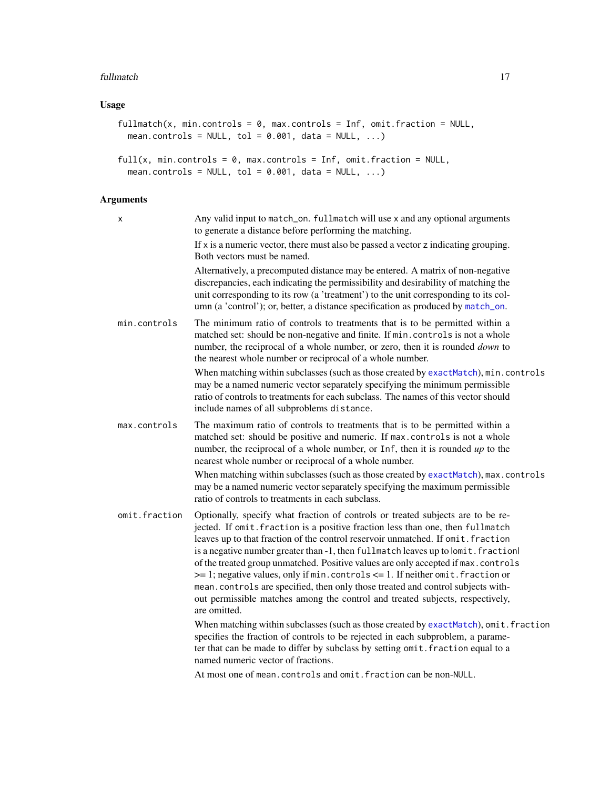#### <span id="page-16-0"></span>fullmatch the contract of the contract of the contract of the contract of the contract of the contract of the contract of the contract of the contract of the contract of the contract of the contract of the contract of the

## Usage

```
fullmatch(x, min.controls = 0, max.controls = Inf, omit.fraction = NULL,
 mean.controls = NULL, tol = 0.001, data = NULL, ...)
full(x, min.contrib = 0, max.contrib = Inf, omit fraction = NULL,mean.controls = NULL, tol = 0.001, data = NULL, ...)
```
## Arguments

| X             | Any valid input to match_on. fullmatch will use x and any optional arguments<br>to generate a distance before performing the matching.                                                                                                                                                                                                                                                                                                                                                                                                                                                                                                                                                                  |
|---------------|---------------------------------------------------------------------------------------------------------------------------------------------------------------------------------------------------------------------------------------------------------------------------------------------------------------------------------------------------------------------------------------------------------------------------------------------------------------------------------------------------------------------------------------------------------------------------------------------------------------------------------------------------------------------------------------------------------|
|               | If $x$ is a numeric vector, there must also be passed a vector $z$ indicating grouping.<br>Both vectors must be named.                                                                                                                                                                                                                                                                                                                                                                                                                                                                                                                                                                                  |
|               | Alternatively, a precomputed distance may be entered. A matrix of non-negative<br>discrepancies, each indicating the permissibility and desirability of matching the<br>unit corresponding to its row (a 'treatment') to the unit corresponding to its col-<br>umn (a 'control'); or, better, a distance specification as produced by match_on.                                                                                                                                                                                                                                                                                                                                                         |
| min.controls  | The minimum ratio of controls to treatments that is to be permitted within a<br>matched set: should be non-negative and finite. If min. controls is not a whole<br>number, the reciprocal of a whole number, or zero, then it is rounded <i>down</i> to<br>the nearest whole number or reciprocal of a whole number.                                                                                                                                                                                                                                                                                                                                                                                    |
|               | When matching within subclasses (such as those created by exactMatch), min.controls<br>may be a named numeric vector separately specifying the minimum permissible<br>ratio of controls to treatments for each subclass. The names of this vector should<br>include names of all subproblems distance.                                                                                                                                                                                                                                                                                                                                                                                                  |
| max.controls  | The maximum ratio of controls to treatments that is to be permitted within a<br>matched set: should be positive and numeric. If max.controls is not a whole<br>number, the reciprocal of a whole number, or Inf, then it is rounded $up$ to the<br>nearest whole number or reciprocal of a whole number.<br>When matching within subclasses (such as those created by exactMatch), max.controls                                                                                                                                                                                                                                                                                                         |
|               | may be a named numeric vector separately specifying the maximum permissible<br>ratio of controls to treatments in each subclass.                                                                                                                                                                                                                                                                                                                                                                                                                                                                                                                                                                        |
| omit.fraction | Optionally, specify what fraction of controls or treated subjects are to be re-<br>jected. If omit. fraction is a positive fraction less than one, then fullmatch<br>leaves up to that fraction of the control reservoir unmatched. If omit. fraction<br>is a negative number greater than -1, then fullmatch leaves up to lomit. fractionl<br>of the treated group unmatched. Positive values are only accepted if max.controls<br>>= 1; negative values, only if min. controls <= 1. If neither omit. fraction or<br>mean.controls are specified, then only those treated and control subjects with-<br>out permissible matches among the control and treated subjects, respectively,<br>are omitted. |
|               | When matching within subclasses (such as those created by exactMatch), omit. fraction<br>specifies the fraction of controls to be rejected in each subproblem, a parame-<br>ter that can be made to differ by subclass by setting omit. fraction equal to a<br>named numeric vector of fractions.                                                                                                                                                                                                                                                                                                                                                                                                       |
|               | At most one of mean.controls and omit.fraction can be non-NULL.                                                                                                                                                                                                                                                                                                                                                                                                                                                                                                                                                                                                                                         |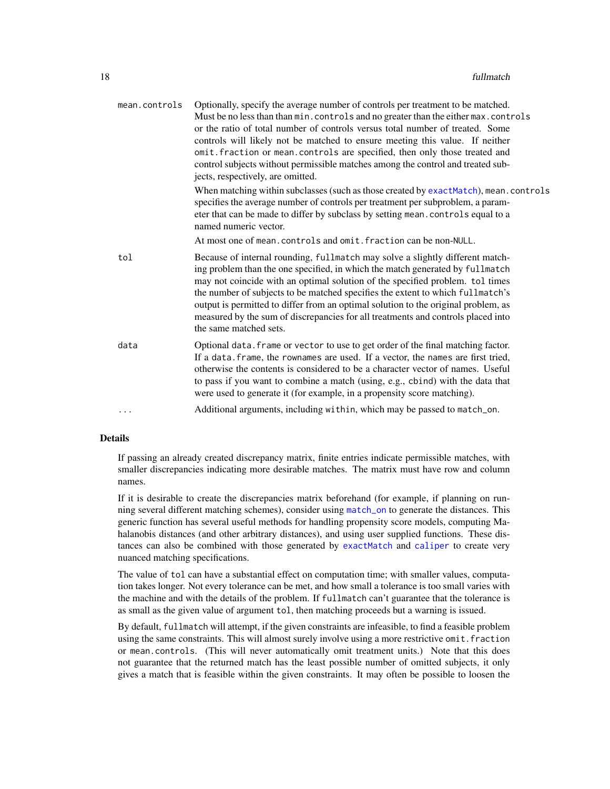<span id="page-17-0"></span>

| mean.controls | Optionally, specify the average number of controls per treatment to be matched.<br>Must be no less than than min. controls and no greater than the either max. controls<br>or the ratio of total number of controls versus total number of treated. Some<br>controls will likely not be matched to ensure meeting this value. If neither<br>omit. fraction or mean. controls are specified, then only those treated and<br>control subjects without permissible matches among the control and treated sub-<br>jects, respectively, are omitted. |
|---------------|-------------------------------------------------------------------------------------------------------------------------------------------------------------------------------------------------------------------------------------------------------------------------------------------------------------------------------------------------------------------------------------------------------------------------------------------------------------------------------------------------------------------------------------------------|
|               | When matching within subclasses (such as those created by exactMatch), mean. controls<br>specifies the average number of controls per treatment per subproblem, a param-<br>eter that can be made to differ by subclass by setting mean. controls equal to a<br>named numeric vector.                                                                                                                                                                                                                                                           |
|               | At most one of mean. controls and omit. fraction can be non-NULL.                                                                                                                                                                                                                                                                                                                                                                                                                                                                               |
| tol           | Because of internal rounding, fullmatch may solve a slightly different match-<br>ing problem than the one specified, in which the match generated by fullmatch<br>may not coincide with an optimal solution of the specified problem. tol times<br>the number of subjects to be matched specifies the extent to which fullmatch's<br>output is permitted to differ from an optimal solution to the original problem, as<br>measured by the sum of discrepancies for all treatments and controls placed into<br>the same matched sets.           |
| data          | Optional data. frame or vector to use to get order of the final matching factor.<br>If a data. frame, the rownames are used. If a vector, the names are first tried,<br>otherwise the contents is considered to be a character vector of names. Useful<br>to pass if you want to combine a match (using, e.g., cbind) with the data that<br>were used to generate it (for example, in a propensity score matching).                                                                                                                             |
| $\cdots$      | Additional arguments, including within, which may be passed to match_on.                                                                                                                                                                                                                                                                                                                                                                                                                                                                        |
|               |                                                                                                                                                                                                                                                                                                                                                                                                                                                                                                                                                 |

## Details

If passing an already created discrepancy matrix, finite entries indicate permissible matches, with smaller discrepancies indicating more desirable matches. The matrix must have row and column names.

If it is desirable to create the discrepancies matrix beforehand (for example, if planning on running several different matching schemes), consider using [match\\_on](#page-23-1) to generate the distances. This generic function has several useful methods for handling propensity score models, computing Mahalanobis distances (and other arbitrary distances), and using user supplied functions. These distances can also be combined with those generated by [exactMatch](#page-11-1) and [caliper](#page-4-1) to create very nuanced matching specifications.

The value of tol can have a substantial effect on computation time; with smaller values, computation takes longer. Not every tolerance can be met, and how small a tolerance is too small varies with the machine and with the details of the problem. If fullmatch can't guarantee that the tolerance is as small as the given value of argument tol, then matching proceeds but a warning is issued.

By default, fullmatch will attempt, if the given constraints are infeasible, to find a feasible problem using the same constraints. This will almost surely involve using a more restrictive omit. fraction or mean.controls. (This will never automatically omit treatment units.) Note that this does not guarantee that the returned match has the least possible number of omitted subjects, it only gives a match that is feasible within the given constraints. It may often be possible to loosen the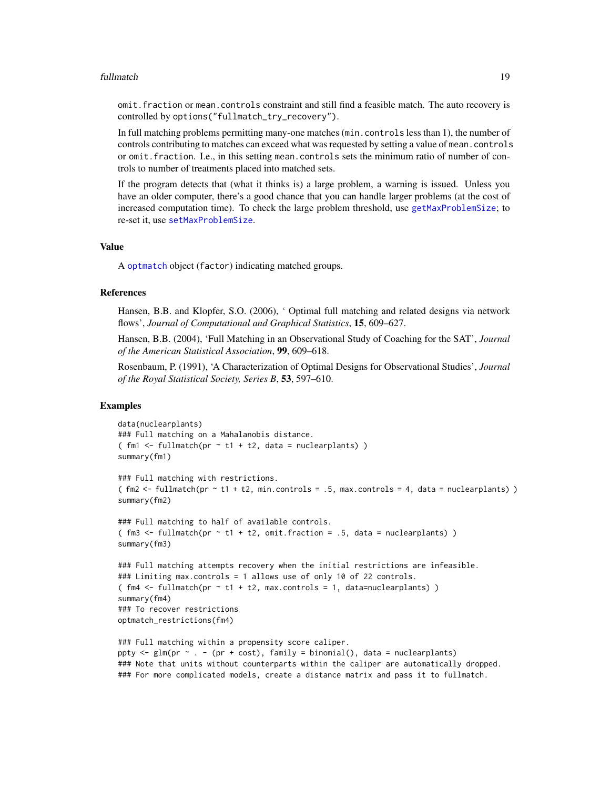#### <span id="page-18-0"></span>fullmatch the contract of the contract of the contract of the contract of the contract of the contract of the contract of the contract of the contract of the contract of the contract of the contract of the contract of the

omit.fraction or mean.controls constraint and still find a feasible match. The auto recovery is controlled by options("fullmatch\_try\_recovery").

In full matching problems permitting many-one matches (min.controls less than 1), the number of controls contributing to matches can exceed what was requested by setting a value of mean.controls or omit.fraction. I.e., in this setting mean.controls sets the minimum ratio of number of controls to number of treatments placed into matched sets.

If the program detects that (what it thinks is) a large problem, a warning is issued. Unless you have an older computer, there's a good chance that you can handle larger problems (at the cost of increased computation time). To check the large problem threshold, use [getMaxProblemSize](#page-19-1); to re-set it, use [setMaxProblemSize](#page-45-1).

#### Value

A [optmatch](#page-35-2) object (factor) indicating matched groups.

#### References

Hansen, B.B. and Klopfer, S.O. (2006), ' Optimal full matching and related designs via network flows', *Journal of Computational and Graphical Statistics*, 15, 609–627.

Hansen, B.B. (2004), 'Full Matching in an Observational Study of Coaching for the SAT', *Journal of the American Statistical Association*, 99, 609–618.

Rosenbaum, P. (1991), 'A Characterization of Optimal Designs for Observational Studies', *Journal of the Royal Statistical Society, Series B*, 53, 597–610.

#### Examples

```
data(nuclearplants)
### Full matching on a Mahalanobis distance.
(m1 < - fullmatch(pr - t1 + t2, data = nuclear plants))summary(fm1)
### Full matching with restrictions.
( \text{fm2} \leq -\text{fullmatch}(pr \leq t1 + t2, min.contribs = .5, max.contribs = 4, data = nuclearplants))
summary(fm2)
### Full matching to half of available controls.
( \text{fm3} \leq \text{fullmatch} (\text{pr} \leq \text{t1} + \text{t2}, omit. fraction = .5, data = nuclearplants) )
summary(fm3)
### Full matching attempts recovery when the initial restrictions are infeasible.
### Limiting max.controls = 1 allows use of only 10 of 22 controls.
( fm4 \leq fullmatch(pr \leq t1 + t2, max.contrib = 1, data=nuclear plants) )
summary(fm4)
### To recover restrictions
optmatch_restrictions(fm4)
### Full matching within a propensity score caliper.
ppty \leq glm(pr \sim . - (pr + cost), family = binomial(), data = nuclearplants)
### Note that units without counterparts within the caliper are automatically dropped.
### For more complicated models, create a distance matrix and pass it to fullmatch.
```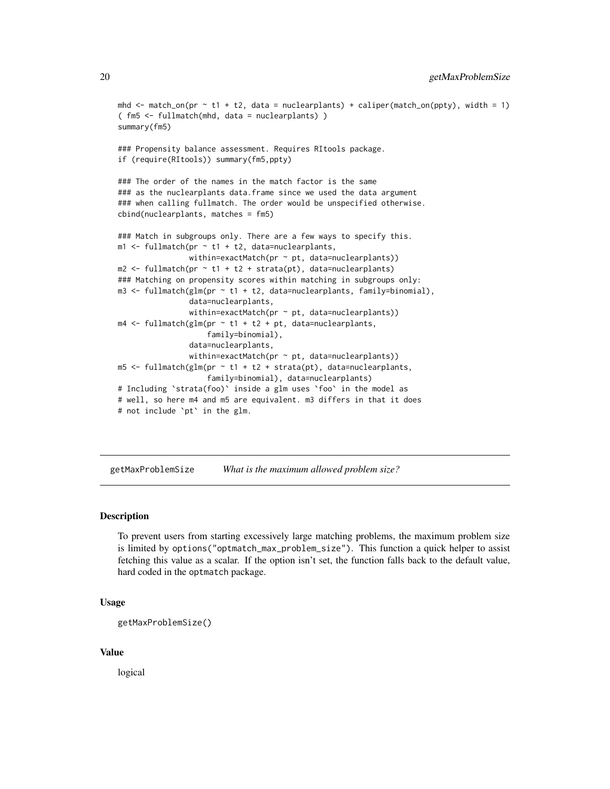```
mhd \le match_on(pr \sim t1 + t2, data = nuclearplants) + caliper(match_on(ppty), width = 1)
( fm5 <- fullmatch(mhd, data = nuclearplants) )
summary(fm5)
### Propensity balance assessment. Requires RItools package.
if (require(RItools)) summary(fm5,ppty)
### The order of the names in the match factor is the same
### as the nuclearplants data.frame since we used the data argument
### when calling fullmatch. The order would be unspecified otherwise.
cbind(nuclearplants, matches = fm5)
### Match in subgroups only. There are a few ways to specify this.
m1 <- fullmatch(pr \sim t1 + t2, data=nuclearplants,
                within=exactMatch(pr \sim pt, data=nuclearplants))
m2 \leq fullmatch(pr \sim t1 + t2 + strata(pt), data=nuclearplants)
### Matching on propensity scores within matching in subgroups only:
m3 <- fullmatch(glm(pr ~ t1 + t2, data=nuclearplants, family=binomial),
                data=nuclearplants,
                within=exactMatch(pr \sim pt, data=nuclearplants))
m4 \leq fullmatch(glm(pr \sim t1 + t2 + pt, data=nuclearplants,
                    family=binomial),
                data=nuclearplants,
                within=exactMatch(pr \sim pt, data=nuclearplants))
m5 < - fullmatch(glm(pr \sim t1 + t2 + strata(pt), data=nuclearplants,
                    family=binomial), data=nuclearplants)
# Including `strata(foo)` inside a glm uses `foo` in the model as
# well, so here m4 and m5 are equivalent. m3 differs in that it does
# not include `pt` in the glm.
```
<span id="page-19-1"></span>getMaxProblemSize *What is the maximum allowed problem size?*

## Description

To prevent users from starting excessively large matching problems, the maximum problem size is limited by options("optmatch\_max\_problem\_size"). This function a quick helper to assist fetching this value as a scalar. If the option isn't set, the function falls back to the default value, hard coded in the optmatch package.

#### Usage

```
getMaxProblemSize()
```
## Value

logical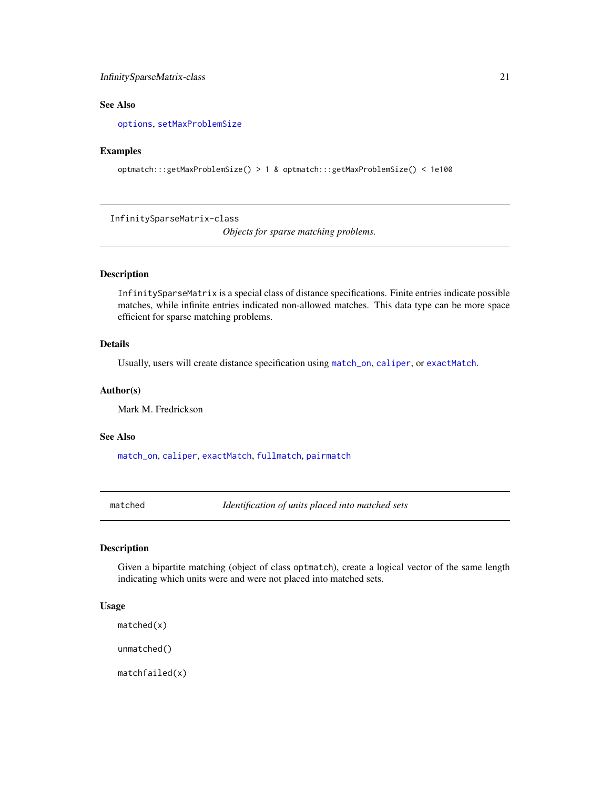## <span id="page-20-0"></span>InfinitySparseMatrix-class 21

## See Also

[options](#page-0-0), [setMaxProblemSize](#page-45-1)

#### Examples

```
optmatch:::getMaxProblemSize() > 1 & optmatch:::getMaxProblemSize() < 1e100
```
InfinitySparseMatrix-class

*Objects for sparse matching problems.*

## Description

InfinitySparseMatrix is a special class of distance specifications. Finite entries indicate possible matches, while infinite entries indicated non-allowed matches. This data type can be more space efficient for sparse matching problems.

## Details

Usually, users will create distance specification using [match\\_on](#page-23-1), [caliper](#page-4-1), or [exactMatch](#page-11-1).

## Author(s)

Mark M. Fredrickson

#### See Also

[match\\_on](#page-23-1), [caliper](#page-4-1), [exactMatch](#page-11-1), [fullmatch](#page-15-1), [pairmatch](#page-38-1)

<span id="page-20-1"></span>matched *Identification of units placed into matched sets*

## <span id="page-20-2"></span>Description

Given a bipartite matching (object of class optmatch), create a logical vector of the same length indicating which units were and were not placed into matched sets.

#### Usage

matched(x)

unmatched()

matchfailed(x)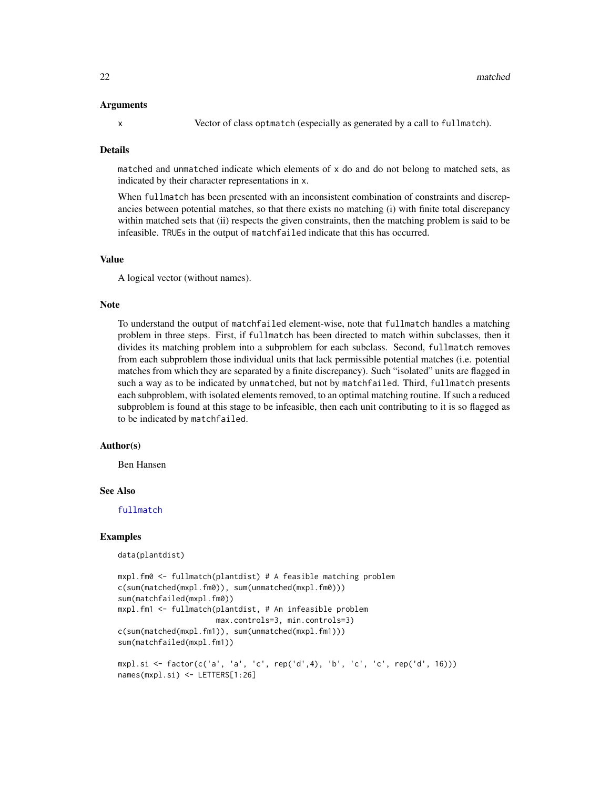#### <span id="page-21-0"></span>Arguments

x Vector of class optmatch (especially as generated by a call to fullmatch).

#### Details

matched and unmatched indicate which elements of x do and do not belong to matched sets, as indicated by their character representations in x.

When fullmatch has been presented with an inconsistent combination of constraints and discrepancies between potential matches, so that there exists no matching (i) with finite total discrepancy within matched sets that (ii) respects the given constraints, then the matching problem is said to be infeasible. TRUEs in the output of matchfailed indicate that this has occurred.

## Value

A logical vector (without names).

#### Note

To understand the output of matchfailed element-wise, note that fullmatch handles a matching problem in three steps. First, if fullmatch has been directed to match within subclasses, then it divides its matching problem into a subproblem for each subclass. Second, fullmatch removes from each subproblem those individual units that lack permissible potential matches (i.e. potential matches from which they are separated by a finite discrepancy). Such "isolated" units are flagged in such a way as to be indicated by unmatched, but not by matchfailed. Third, fullmatch presents each subproblem, with isolated elements removed, to an optimal matching routine. If such a reduced subproblem is found at this stage to be infeasible, then each unit contributing to it is so flagged as to be indicated by matchfailed.

#### Author(s)

Ben Hansen

#### See Also

[fullmatch](#page-15-1)

#### Examples

data(plantdist)

```
mxpl.fm0 <- fullmatch(plantdist) # A feasible matching problem
c(sum(matched(mxpl.fm0)), sum(unmatched(mxpl.fm0)))
sum(matchfailed(mxpl.fm0))
mxpl.fm1 <- fullmatch(plantdist, # An infeasible problem
                      max.controls=3, min.controls=3)
c(sum(matched(mxpl.fm1)), sum(unmatched(mxpl.fm1)))
sum(matchfailed(mxpl.fm1))
mxpl.si <- factor(c('a', 'a', 'c', rep('d',4), 'b', 'c', 'c', rep('d', 16)))
names(mxpl.si) <- LETTERS[1:26]
```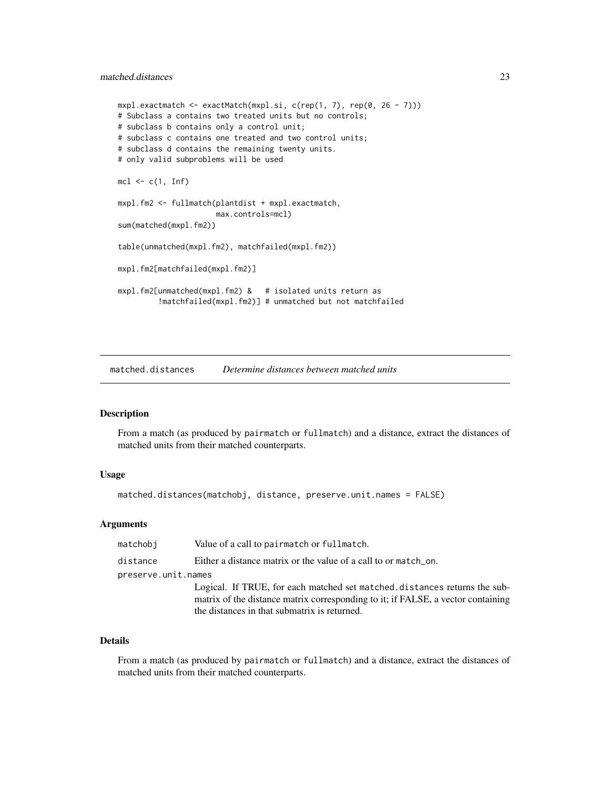```
m xpl.exactmatch <- exactMatch(mxpl.si, c(rep(1, 7), rep(0, 26 - 7)))
# Subclass a contains two treated units but no controls;
# subclass b contains only a control unit;
# subclass c contains one treated and two control units;
# subclass d contains the remaining twenty units.
# only valid subproblems will be used
mcl \leftarrow c(1, Inf)mxpl.fm2 <- fullmatch(plantdist + mxpl.exactmatch,
                      max.controls=mcl)
sum(matched(mxpl.fm2))
table(unmatched(mxpl.fm2), matchfailed(mxpl.fm2))
mxpl.fm2[matchfailed(mxpl.fm2)]
mxpl.fm2[unmatched(mxpl.fm2) & # isolated units return as
         !matchfailed(mxpl.fm2)] # unmatched but not matchfailed
```
matched.distances *Determine distances between matched units*

#### Description

From a match (as produced by pairmatch or fullmatch) and a distance, extract the distances of matched units from their matched counterparts.

## Usage

matched.distances(matchobj, distance, preserve.unit.names = FALSE)

## Arguments

| matchobi            | Value of a call to pairmatch or fullmatch.                                                                                                                                                                    |  |
|---------------------|---------------------------------------------------------------------------------------------------------------------------------------------------------------------------------------------------------------|--|
| distance            | Either a distance matrix or the value of a call to or match_on.                                                                                                                                               |  |
| preserve.unit.names |                                                                                                                                                                                                               |  |
|                     | Logical. If TRUE, for each matched set matched distances returns the sub-<br>matrix of the distance matrix corresponding to it; if FALSE, a vector containing<br>the distances in that submatrix is returned. |  |

## Details

From a match (as produced by pairmatch or fullmatch) and a distance, extract the distances of matched units from their matched counterparts.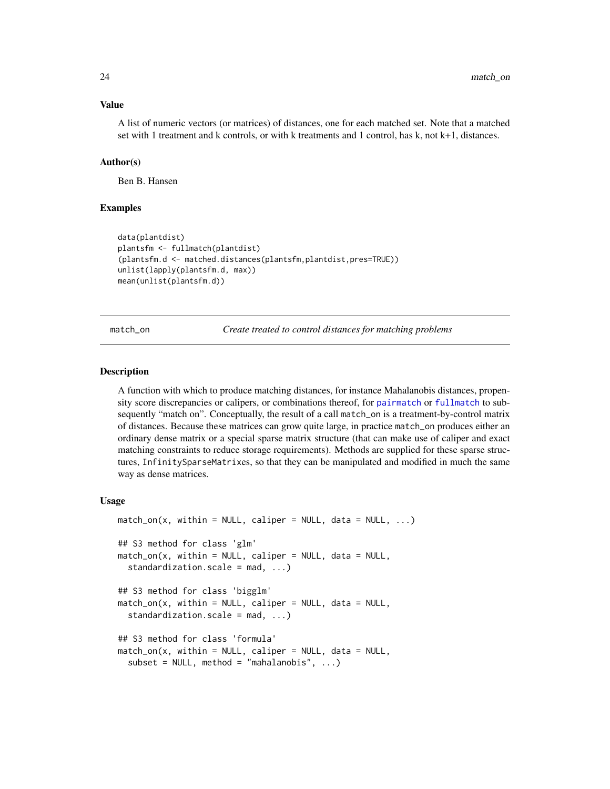#### <span id="page-23-0"></span>Value

A list of numeric vectors (or matrices) of distances, one for each matched set. Note that a matched set with 1 treatment and k controls, or with k treatments and 1 control, has k, not k+1, distances.

### Author(s)

Ben B. Hansen

## Examples

```
data(plantdist)
plantsfm <- fullmatch(plantdist)
(plantsfm.d <- matched.distances(plantsfm,plantdist,pres=TRUE))
unlist(lapply(plantsfm.d, max))
mean(unlist(plantsfm.d))
```
<span id="page-23-1"></span>match\_on *Create treated to control distances for matching problems*

#### Description

A function with which to produce matching distances, for instance Mahalanobis distances, propensity score discrepancies or calipers, or combinations thereof, for [pairmatch](#page-38-1) or [fullmatch](#page-15-1) to subsequently "match on". Conceptually, the result of a call match\_on is a treatment-by-control matrix of distances. Because these matrices can grow quite large, in practice match\_on produces either an ordinary dense matrix or a special sparse matrix structure (that can make use of caliper and exact matching constraints to reduce storage requirements). Methods are supplied for these sparse structures, InfinitySparseMatrixes, so that they can be manipulated and modified in much the same way as dense matrices.

#### Usage

```
match\_on(x, within = NULL, caliper = NULL, data = NULL, ...)## S3 method for class 'glm'
match\_on(x, within = NULL, caliper = NULL, data = NULL,standardization.scale = mad, ...)
## S3 method for class 'bigglm'
match\_on(x, within = NULL, caliper = NULL, data = NULL,standardization.scale = mad, ...)
## S3 method for class 'formula'
match\_on(x, within = NULL, caliper = NULL, data = NULL,subset = NULL, method = "mahalanobis", ...)
```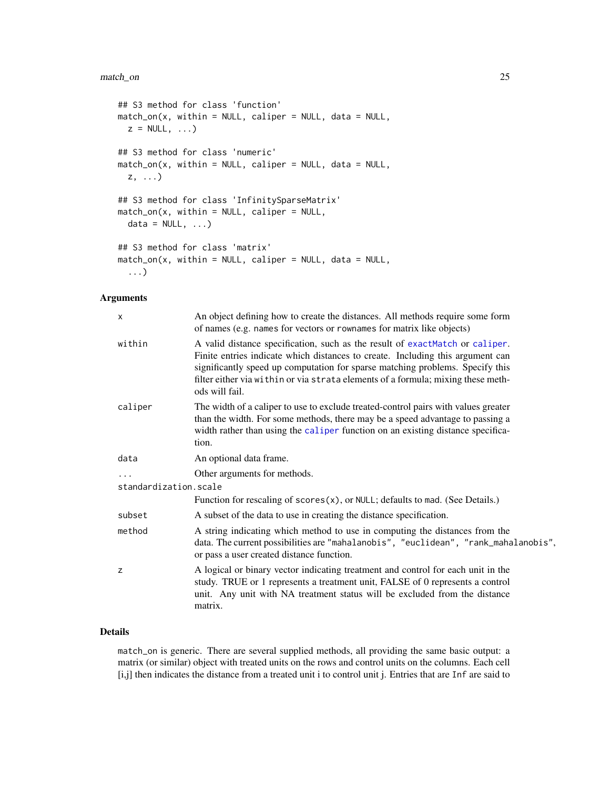#### <span id="page-24-0"></span>match\_on 25

```
## S3 method for class 'function'
match\_on(x, within = NULL, caliper = NULL, data = NULL,z = NULL, ...## S3 method for class 'numeric'
match_on(x, within = NULL, caliper = NULL, data = NULL,
 z, ...)
## S3 method for class 'InfinitySparseMatrix'
match\_on(x, within = NULL, caliper = NULL,data = NULL, ...)## S3 method for class 'matrix'
match\_on(x, within = NULL, caliper = NULL, data = NULL,...)
```
## Arguments

| X                     | An object defining how to create the distances. All methods require some form<br>of names (e.g. names for vectors or rownames for matrix like objects)                                                                                                                                                                                                |  |
|-----------------------|-------------------------------------------------------------------------------------------------------------------------------------------------------------------------------------------------------------------------------------------------------------------------------------------------------------------------------------------------------|--|
| within                | A valid distance specification, such as the result of exactMatch or caliper.<br>Finite entries indicate which distances to create. Including this argument can<br>significantly speed up computation for sparse matching problems. Specify this<br>filter either via within or via strata elements of a formula; mixing these meth-<br>ods will fail. |  |
| caliper               | The width of a caliper to use to exclude treated-control pairs with values greater<br>than the width. For some methods, there may be a speed advantage to passing a<br>width rather than using the caliper function on an existing distance specifica-<br>tion.                                                                                       |  |
| data                  | An optional data frame.                                                                                                                                                                                                                                                                                                                               |  |
|                       | Other arguments for methods.                                                                                                                                                                                                                                                                                                                          |  |
| standardization.scale |                                                                                                                                                                                                                                                                                                                                                       |  |
|                       | Function for rescaling of $scores(x)$ , or NULL; defaults to mad. (See Details.)                                                                                                                                                                                                                                                                      |  |
| subset                | A subset of the data to use in creating the distance specification.                                                                                                                                                                                                                                                                                   |  |
| method                | A string indicating which method to use in computing the distances from the<br>data. The current possibilities are "mahalanobis", "euclidean", "rank_mahalanobis",<br>or pass a user created distance function.                                                                                                                                       |  |
| z                     | A logical or binary vector indicating treatment and control for each unit in the<br>study. TRUE or 1 represents a treatment unit, FALSE of 0 represents a control<br>unit. Any unit with NA treatment status will be excluded from the distance<br>matrix.                                                                                            |  |

## Details

match\_on is generic. There are several supplied methods, all providing the same basic output: a matrix (or similar) object with treated units on the rows and control units on the columns. Each cell [i,j] then indicates the distance from a treated unit i to control unit j. Entries that are Inf are said to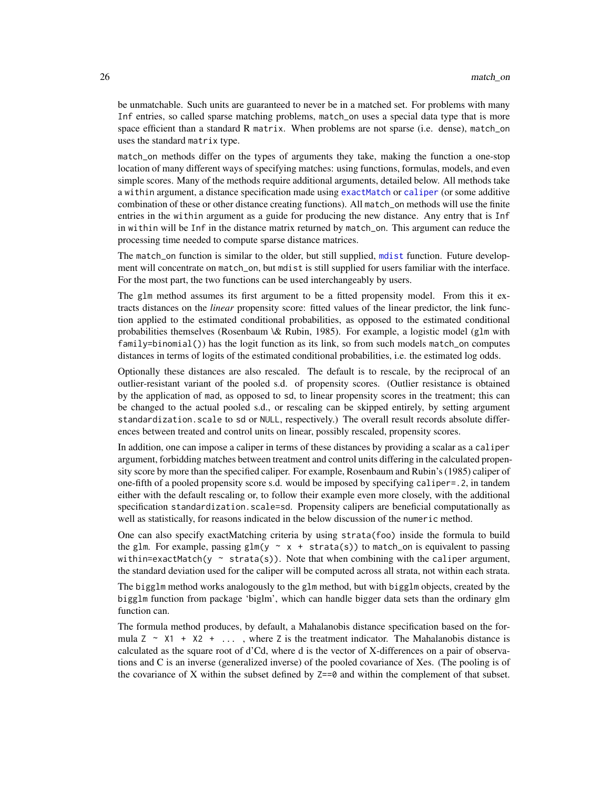<span id="page-25-0"></span>be unmatchable. Such units are guaranteed to never be in a matched set. For problems with many Inf entries, so called sparse matching problems, match\_on uses a special data type that is more space efficient than a standard R matrix. When problems are not sparse (i.e. dense), match\_on uses the standard matrix type.

match\_on methods differ on the types of arguments they take, making the function a one-stop location of many different ways of specifying matches: using functions, formulas, models, and even simple scores. Many of the methods require additional arguments, detailed below. All methods take a within argument, a distance specification made using [exactMatch](#page-11-1) or [caliper](#page-4-1) (or some additive combination of these or other distance creating functions). All match\_on methods will use the finite entries in the within argument as a guide for producing the new distance. Any entry that is Inf in within will be Inf in the distance matrix returned by match\_on. This argument can reduce the processing time needed to compute sparse distance matrices.

The match\_on function is similar to the older, but still supplied, [mdist](#page-30-1) function. Future development will concentrate on match\_on, but mdist is still supplied for users familiar with the interface. For the most part, the two functions can be used interchangeably by users.

The glm method assumes its first argument to be a fitted propensity model. From this it extracts distances on the *linear* propensity score: fitted values of the linear predictor, the link function applied to the estimated conditional probabilities, as opposed to the estimated conditional probabilities themselves (Rosenbaum \& Rubin, 1985). For example, a logistic model (g1m with family=binomial()) has the logit function as its link, so from such models match\_on computes distances in terms of logits of the estimated conditional probabilities, i.e. the estimated log odds.

Optionally these distances are also rescaled. The default is to rescale, by the reciprocal of an outlier-resistant variant of the pooled s.d. of propensity scores. (Outlier resistance is obtained by the application of mad, as opposed to sd, to linear propensity scores in the treatment; this can be changed to the actual pooled s.d., or rescaling can be skipped entirely, by setting argument standardization.scale to sd or NULL, respectively.) The overall result records absolute differences between treated and control units on linear, possibly rescaled, propensity scores.

In addition, one can impose a caliper in terms of these distances by providing a scalar as a caliper argument, forbidding matches between treatment and control units differing in the calculated propensity score by more than the specified caliper. For example, Rosenbaum and Rubin's (1985) caliper of one-fifth of a pooled propensity score s.d. would be imposed by specifying caliper=.2, in tandem either with the default rescaling or, to follow their example even more closely, with the additional specification standardization.scale=sd. Propensity calipers are beneficial computationally as well as statistically, for reasons indicated in the below discussion of the numeric method.

One can also specify exactMatching criteria by using strata(foo) inside the formula to build the glm. For example, passing glm(y  $\sim x + \text{strata}(s)$ ) to match\_on is equivalent to passing within=exactMatch(y  $\sim$  strata(s)). Note that when combining with the caliper argument, the standard deviation used for the caliper will be computed across all strata, not within each strata.

The bigglm method works analogously to the glm method, but with bigglm objects, created by the bigglm function from package 'biglm', which can handle bigger data sets than the ordinary glm function can.

The formula method produces, by default, a Mahalanobis distance specification based on the formula  $Z \sim X1 + X2 + ...$ , where Z is the treatment indicator. The Mahalanobis distance is calculated as the square root of d'Cd, where d is the vector of X-differences on a pair of observations and C is an inverse (generalized inverse) of the pooled covariance of Xes. (The pooling is of the covariance of X within the subset defined by  $Z == 0$  and within the complement of that subset.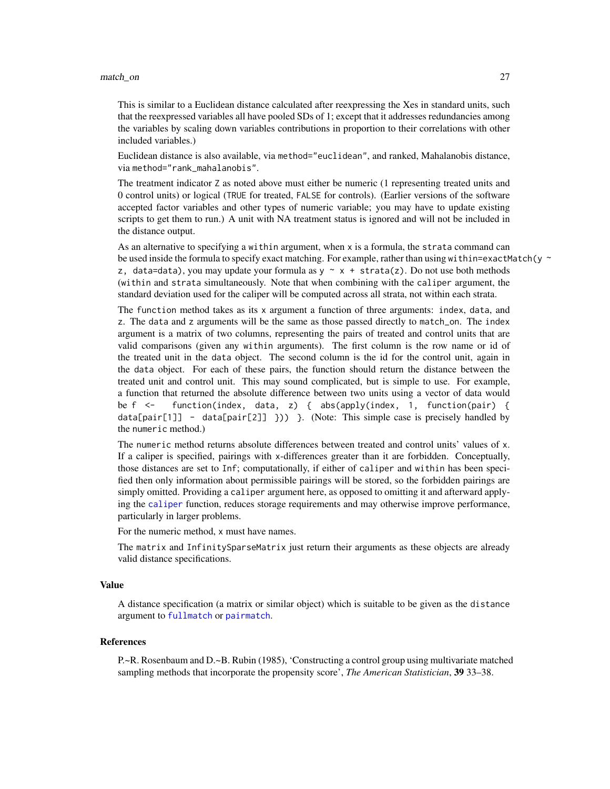#### <span id="page-26-0"></span>match\_on 27

This is similar to a Euclidean distance calculated after reexpressing the Xes in standard units, such that the reexpressed variables all have pooled SDs of 1; except that it addresses redundancies among the variables by scaling down variables contributions in proportion to their correlations with other included variables.)

Euclidean distance is also available, via method="euclidean", and ranked, Mahalanobis distance, via method="rank\_mahalanobis".

The treatment indicator Z as noted above must either be numeric (1 representing treated units and 0 control units) or logical (TRUE for treated, FALSE for controls). (Earlier versions of the software accepted factor variables and other types of numeric variable; you may have to update existing scripts to get them to run.) A unit with NA treatment status is ignored and will not be included in the distance output.

As an alternative to specifying a within argument, when x is a formula, the strata command can be used inside the formula to specify exact matching. For example, rather than using within=exactMatch(y  $\sim$ z, data=data), you may update your formula as  $y \sim x + \text{strata}(z)$ . Do not use both methods (within and strata simultaneously. Note that when combining with the caliper argument, the standard deviation used for the caliper will be computed across all strata, not within each strata.

The function method takes as its x argument a function of three arguments: index, data, and z. The data and z arguments will be the same as those passed directly to match\_on. The index argument is a matrix of two columns, representing the pairs of treated and control units that are valid comparisons (given any within arguments). The first column is the row name or id of the treated unit in the data object. The second column is the id for the control unit, again in the data object. For each of these pairs, the function should return the distance between the treated unit and control unit. This may sound complicated, but is simple to use. For example, a function that returned the absolute difference between two units using a vector of data would be f <- function(index, data, z) { abs(apply(index, 1, function(pair) {  $data[pair[1]] - data[pair[2]]$  }) }. (Note: This simple case is precisely handled by the numeric method.)

The numeric method returns absolute differences between treated and control units' values of x. If a caliper is specified, pairings with x-differences greater than it are forbidden. Conceptually, those distances are set to Inf; computationally, if either of caliper and within has been specified then only information about permissible pairings will be stored, so the forbidden pairings are simply omitted. Providing a caliper argument here, as opposed to omitting it and afterward applying the [caliper](#page-4-1) function, reduces storage requirements and may otherwise improve performance, particularly in larger problems.

For the numeric method, x must have names.

The matrix and InfinitySparseMatrix just return their arguments as these objects are already valid distance specifications.

### Value

A distance specification (a matrix or similar object) which is suitable to be given as the distance argument to [fullmatch](#page-15-1) or [pairmatch](#page-38-1).

## References

P.~R. Rosenbaum and D.~B. Rubin (1985), 'Constructing a control group using multivariate matched sampling methods that incorporate the propensity score', *The American Statistician*, 39 33–38.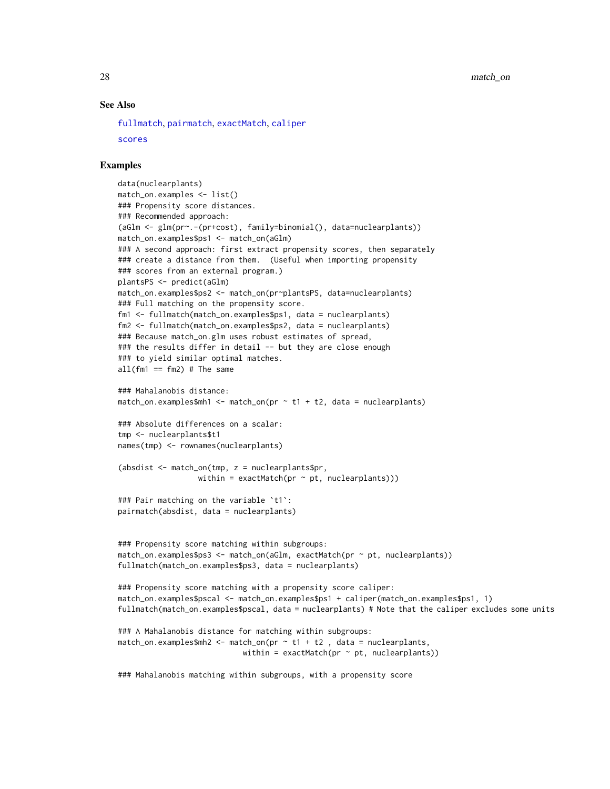## <span id="page-27-0"></span>See Also

[fullmatch](#page-15-1), [pairmatch](#page-38-1), [exactMatch](#page-11-1), [caliper](#page-4-1)

```
scores
```
#### Examples

```
data(nuclearplants)
match_on.examples <- list()
### Propensity score distances.
### Recommended approach:
(aGlm <- glm(pr~.-(pr+cost), family=binomial(), data=nuclearplants))
match_on.examples$ps1 <- match_on(aGlm)
### A second approach: first extract propensity scores, then separately
### create a distance from them. (Useful when importing propensity
### scores from an external program.)
plantsPS <- predict(aGlm)
match_on.examples$ps2 <- match_on(pr~plantsPS, data=nuclearplants)
### Full matching on the propensity score.
fm1 <- fullmatch(match_on.examples$ps1, data = nuclearplants)
fm2 <- fullmatch(match_on.examples$ps2, data = nuclearplants)
### Because match_on.glm uses robust estimates of spread,
### the results differ in detail -- but they are close enough
### to yield similar optimal matches.
all(fm1 == fm2) # The same
### Mahalanobis distance:
match_on.examples$mh1 <- match_on(pr \sim t1 + t2, data = nuclearplants)
### Absolute differences on a scalar:
tmp <- nuclearplants$t1
names(tmp) <- rownames(nuclearplants)
(absdist <- match_on(tmp, z = nuclearplants$pr,
                  within = exactMatch(pr \sim pt, nuclearplants)))
### Pair matching on the variable `t1`:
pairmatch(absdist, data = nuclearplants)
### Propensity score matching within subgroups:
match_on.examples$ps3 <- match_on(aGlm, exactMatch(pr ~ pt, nuclearplants))
fullmatch(match_on.examples$ps3, data = nuclearplants)
### Propensity score matching with a propensity score caliper:
match_on.examples$pscal <- match_on.examples$ps1 + caliper(match_on.examples$ps1, 1)
fullmatch(match_on.examples$pscal, data = nuclearplants) # Note that the caliper excludes some units
### A Mahalanobis distance for matching within subgroups:
match\_on. examples$mh2 <- match_on(pr \sim t1 + t2, data = nuclearplants,
                            within = exactMatch(pr \sim pt, nuclearplants))
```
### Mahalanobis matching within subgroups, with a propensity score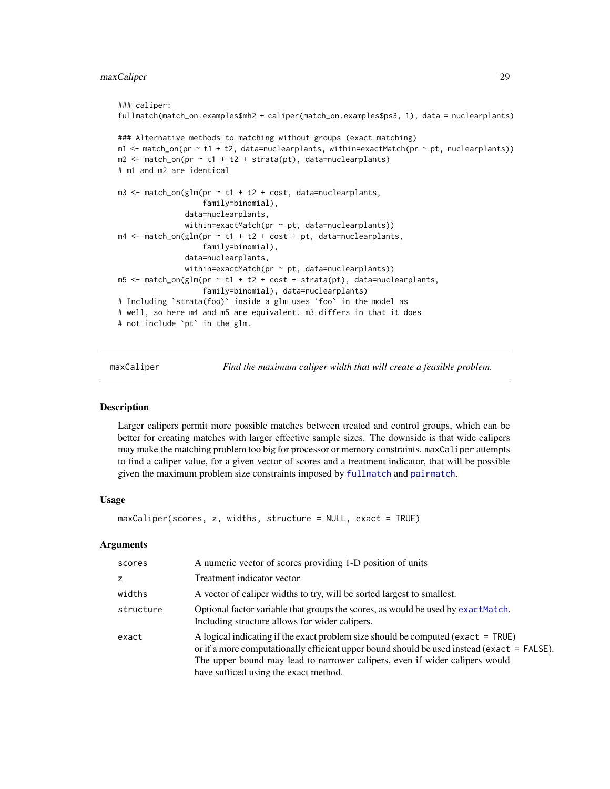## <span id="page-28-0"></span>maxCaliper 29

```
### caliper:
fullmatch(match_on.examples$mh2 + caliper(match_on.examples$ps3, 1), data = nuclearplants)
### Alternative methods to matching without groups (exact matching)
m1 < - match_on(pr \sim t1 + t2, data=nuclearplants, within=exactMatch(pr \sim pt, nuclearplants))
m2 \le - match_on(pr \sim t1 + t2 + strata(pt), data=nuclearplants)
# m1 and m2 are identical
m3 \le match_on(glm(pr \sim t1 + t2 + cost, data=nuclearplants,
                   family=binomial),
               data=nuclearplants,
               within=exactMatch(pr ~ pt, data=nuclearplants))
m4 \leq match\_on(glm(pr \sim t1 + t2 + cost + pt, data=nuclean plants,family=binomial),
               data=nuclearplants,
               within=exactMatch(pr \sim pt, data=nuclearplants))
m5 <- match_on(glm(pr \sim t1 + t2 + cost + strata(pt), data=nuclearplants,
                    family=binomial), data=nuclearplants)
# Including `strata(foo)` inside a glm uses `foo` in the model as
# well, so here m4 and m5 are equivalent. m3 differs in that it does
# not include `pt` in the glm.
```
maxCaliper *Find the maximum caliper width that will create a feasible problem.*

## **Description**

Larger calipers permit more possible matches between treated and control groups, which can be better for creating matches with larger effective sample sizes. The downside is that wide calipers may make the matching problem too big for processor or memory constraints. maxCaliper attempts to find a caliper value, for a given vector of scores and a treatment indicator, that will be possible given the maximum problem size constraints imposed by [fullmatch](#page-15-1) and [pairmatch](#page-38-1).

#### Usage

```
maxCaliper(scores, z, widths, structure = NULL, exact = TRUE)
```
#### Arguments

| scores    | A numeric vector of scores providing 1-D position of units                                                                                                                                                                                                                                               |  |
|-----------|----------------------------------------------------------------------------------------------------------------------------------------------------------------------------------------------------------------------------------------------------------------------------------------------------------|--|
| z         | Treatment indicator vector                                                                                                                                                                                                                                                                               |  |
| widths    | A vector of caliper widths to try, will be sorted largest to smallest.                                                                                                                                                                                                                                   |  |
| structure | Optional factor variable that groups the scores, as would be used by exact Match.<br>Including structure allows for wider calipers.                                                                                                                                                                      |  |
| exact     | A logical indicating if the exact problem size should be computed (exact $=$ TRUE)<br>or if a more computationally efficient upper bound should be used instead (exact = FALSE).<br>The upper bound may lead to narrower calipers, even if wider calipers would<br>have sufficed using the exact method. |  |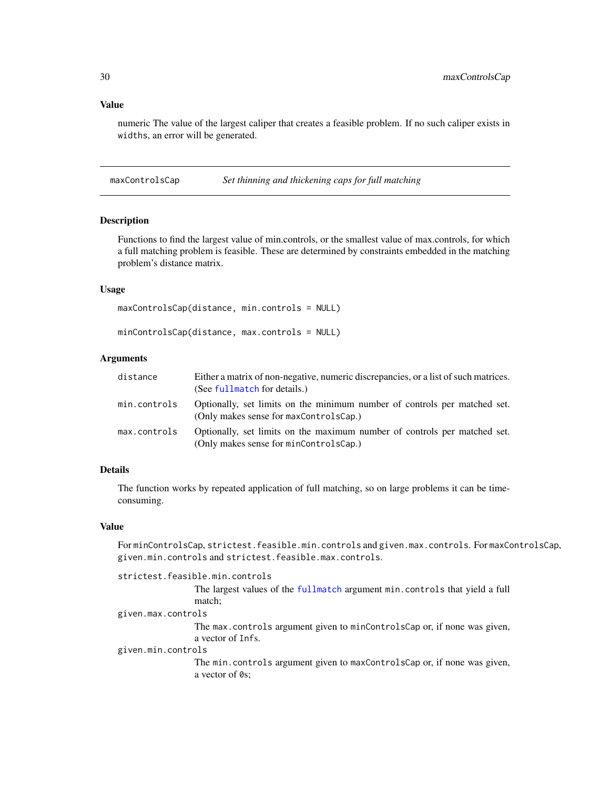## <span id="page-29-0"></span>Value

numeric The value of the largest caliper that creates a feasible problem. If no such caliper exists in widths, an error will be generated.

maxControlsCap *Set thinning and thickening caps for full matching*

#### Description

Functions to find the largest value of min.controls, or the smallest value of max.controls, for which a full matching problem is feasible. These are determined by constraints embedded in the matching problem's distance matrix.

### Usage

```
maxControlsCap(distance, min.controls = NULL)
```

```
minControlsCap(distance, max.controls = NULL)
```
#### Arguments

| distance     | Either a matrix of non-negative, numeric discrepancies, or a list of such matrices.<br>(See fullmatch for details.) |
|--------------|---------------------------------------------------------------------------------------------------------------------|
| min.controls | Optionally, set limits on the minimum number of controls per matched set.<br>(Only makes sense for maxControlsCap.) |
| max.controls | Optionally, set limits on the maximum number of controls per matched set.<br>(Only makes sense for minControlsCap.) |

## Details

The function works by repeated application of full matching, so on large problems it can be timeconsuming.

## Value

For minControlsCap, strictest.feasible.min.controls and given.max.controls. For maxControlsCap, given.min.controls and strictest.feasible.max.controls.

strictest.feasible.min.controls

The largest values of the [fullmatch](#page-15-1) argument min.controls that yield a full match;

given.max.controls

The max.controls argument given to minControlsCap or, if none was given, a vector of Infs.

given.min.controls

The min.controls argument given to maxControlsCap or, if none was given, a vector of 0s;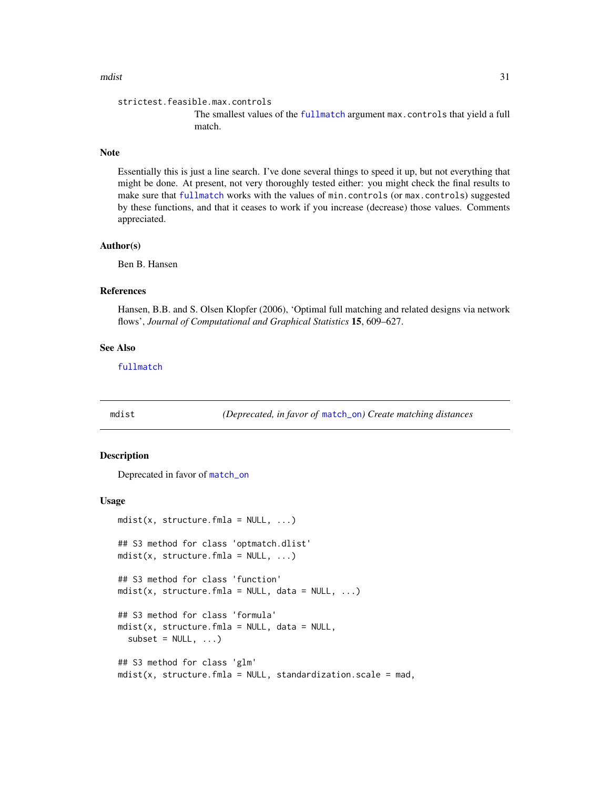#### <span id="page-30-0"></span>mdist 31

```
strictest.feasible.max.controls
```
The smallest values of the [fullmatch](#page-15-1) argument max.controls that yield a full match.

## Note

Essentially this is just a line search. I've done several things to speed it up, but not everything that might be done. At present, not very thoroughly tested either: you might check the final results to make sure that [fullmatch](#page-15-1) works with the values of min.controls (or max.controls) suggested by these functions, and that it ceases to work if you increase (decrease) those values. Comments appreciated.

## Author(s)

Ben B. Hansen

## References

Hansen, B.B. and S. Olsen Klopfer (2006), 'Optimal full matching and related designs via network flows', *Journal of Computational and Graphical Statistics* 15, 609–627.

#### See Also

[fullmatch](#page-15-1)

<span id="page-30-1"></span>mdist *(Deprecated, in favor of* [match\\_on](#page-23-1)*) Create matching distances*

#### Description

Deprecated in favor of [match\\_on](#page-23-1)

#### Usage

```
mdist(x, structure.fmla = NULL, ...)## S3 method for class 'optmatch.dlist'
mdist(x, structure.fmla = NULL, ...)## S3 method for class 'function'
mdist(x, structure.fmla = NULL, data = NULL, ...)## S3 method for class 'formula'
mdist(x, structure.fmla = NULL, data = NULL,subset = NULL, ...## S3 method for class 'glm'
mdist(x, structure.fmla = NULL, standardization.scale = mad,
```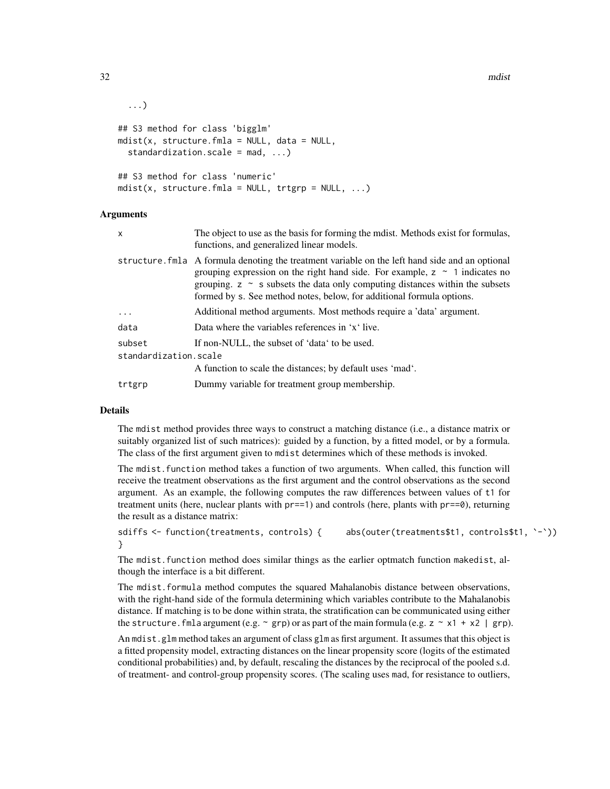```
...)
## S3 method for class 'bigglm'
mdist(x, structure.fmla = NULL, data = NULL,standardization.scale = mod, ...## S3 method for class 'numeric'
mdist(x, structure.fmla = NULL, trtgrp = NULL, ...)
```
## Arguments

| x                     | The object to use as the basis for forming the modest. Methods exist for formulas,<br>functions, and generalized linear models.                                                                                                                                                                                                                   |  |
|-----------------------|---------------------------------------------------------------------------------------------------------------------------------------------------------------------------------------------------------------------------------------------------------------------------------------------------------------------------------------------------|--|
|                       | structure. Fmla A formula denoting the treatment variable on the left hand side and an optional<br>grouping expression on the right hand side. For example, $z \sim 1$ indicates no<br>grouping. $z \sim s$ subsets the data only computing distances within the subsets<br>formed by s. See method notes, below, for additional formula options. |  |
| $\ddots$ .            | Additional method arguments. Most methods require a 'data' argument.                                                                                                                                                                                                                                                                              |  |
| data                  | Data where the variables references in 'x' live.                                                                                                                                                                                                                                                                                                  |  |
| subset                | If non-NULL, the subset of 'data' to be used.                                                                                                                                                                                                                                                                                                     |  |
| standardization.scale |                                                                                                                                                                                                                                                                                                                                                   |  |
|                       | A function to scale the distances; by default uses 'mad'.                                                                                                                                                                                                                                                                                         |  |
| trtgrp                | Dummy variable for treatment group membership.                                                                                                                                                                                                                                                                                                    |  |
|                       |                                                                                                                                                                                                                                                                                                                                                   |  |

## Details

The mdist method provides three ways to construct a matching distance (i.e., a distance matrix or suitably organized list of such matrices): guided by a function, by a fitted model, or by a formula. The class of the first argument given to mdist determines which of these methods is invoked.

The mdist.function method takes a function of two arguments. When called, this function will receive the treatment observations as the first argument and the control observations as the second argument. As an example, the following computes the raw differences between values of t1 for treatment units (here, nuclear plants with pr==1) and controls (here, plants with pr==0), returning the result as a distance matrix:

```
sdiffs <- function(treatments, controls) { abs(outer(treatments$t1, controls$t1, `-`))
}
```
The mdist.function method does similar things as the earlier optmatch function makedist, although the interface is a bit different.

The mdist.formula method computes the squared Mahalanobis distance between observations, with the right-hand side of the formula determining which variables contribute to the Mahalanobis distance. If matching is to be done within strata, the stratification can be communicated using either the structure. fmla argument (e.g.  $\sim$  grp) or as part of the main formula (e.g.  $z \sim x1 + x2$  | grp).

An mdist.glm method takes an argument of class glm as first argument. It assumes that this object is a fitted propensity model, extracting distances on the linear propensity score (logits of the estimated conditional probabilities) and, by default, rescaling the distances by the reciprocal of the pooled s.d. of treatment- and control-group propensity scores. (The scaling uses mad, for resistance to outliers,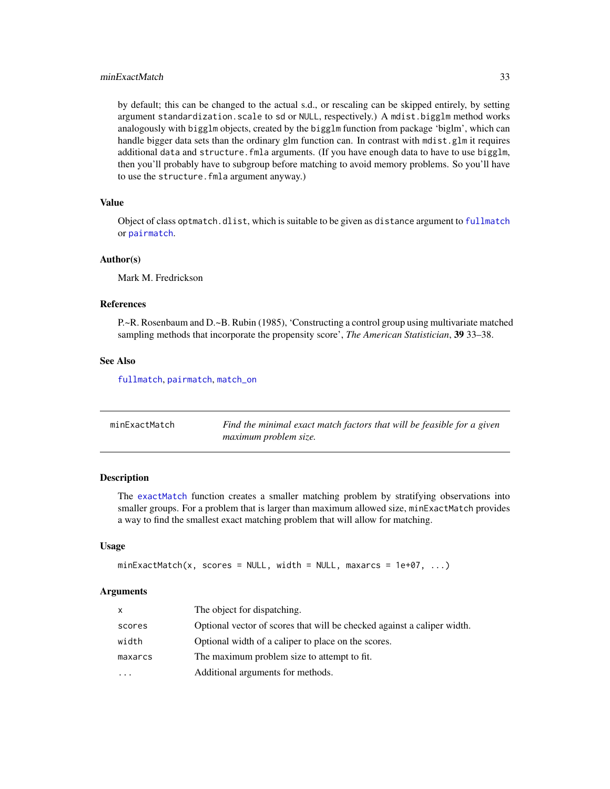## <span id="page-32-0"></span>minExactMatch 33

by default; this can be changed to the actual s.d., or rescaling can be skipped entirely, by setting argument standardization.scale to sd or NULL, respectively.) A mdist.bigglm method works analogously with bigglm objects, created by the bigglm function from package 'biglm', which can handle bigger data sets than the ordinary glm function can. In contrast with mdist.glm it requires additional data and structure.fmla arguments. (If you have enough data to have to use bigglm, then you'll probably have to subgroup before matching to avoid memory problems. So you'll have to use the structure.fmla argument anyway.)

#### Value

Object of class optmatch.dlist, which is suitable to be given as distance argument to [fullmatch](#page-15-1) or [pairmatch](#page-38-1).

#### Author(s)

Mark M. Fredrickson

## References

P.~R. Rosenbaum and D.~B. Rubin (1985), 'Constructing a control group using multivariate matched sampling methods that incorporate the propensity score', *The American Statistician*, 39 33–38.

## See Also

[fullmatch](#page-15-1), [pairmatch](#page-38-1), [match\\_on](#page-23-1)

| minExactMatch | Find the minimal exact match factors that will be feasible for a given |
|---------------|------------------------------------------------------------------------|
|               | maximum problem size.                                                  |

#### Description

The [exactMatch](#page-11-1) function creates a smaller matching problem by stratifying observations into smaller groups. For a problem that is larger than maximum allowed size, minExactMatch provides a way to find the smallest exact matching problem that will allow for matching.

#### Usage

```
minExactMatch(x, scores = NULL, width = NULL, maxarcs = 1e+07, ...)
```
#### Arguments

| The object for dispatching.<br>X                                                  |  |
|-----------------------------------------------------------------------------------|--|
| Optional vector of scores that will be checked against a caliper width.<br>scores |  |
| width<br>Optional width of a caliper to place on the scores.                      |  |
| The maximum problem size to attempt to fit.<br>maxarcs                            |  |
| Additional arguments for methods.<br>$\ddotsc$                                    |  |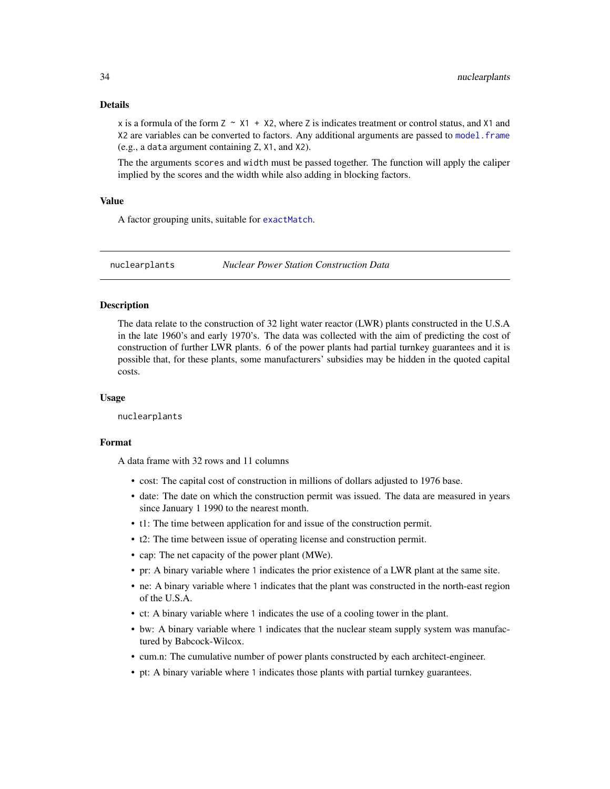#### <span id="page-33-0"></span>Details

x is a formula of the form  $Z \sim X1 + X2$ , where Z is indicates treatment or control status, and X1 and X2 are variables can be converted to factors. Any additional arguments are passed to [model.frame](#page-0-0) (e.g., a data argument containing Z, X1, and X2).

The the arguments scores and width must be passed together. The function will apply the caliper implied by the scores and the width while also adding in blocking factors.

#### Value

A factor grouping units, suitable for [exactMatch](#page-11-1).

nuclearplants *Nuclear Power Station Construction Data*

#### Description

The data relate to the construction of 32 light water reactor (LWR) plants constructed in the U.S.A in the late 1960's and early 1970's. The data was collected with the aim of predicting the cost of construction of further LWR plants. 6 of the power plants had partial turnkey guarantees and it is possible that, for these plants, some manufacturers' subsidies may be hidden in the quoted capital costs.

#### Usage

nuclearplants

## Format

A data frame with 32 rows and 11 columns

- cost: The capital cost of construction in millions of dollars adjusted to 1976 base.
- date: The date on which the construction permit was issued. The data are measured in years since January 1 1990 to the nearest month.
- t1: The time between application for and issue of the construction permit.
- t2: The time between issue of operating license and construction permit.
- cap: The net capacity of the power plant (MWe).
- pr: A binary variable where 1 indicates the prior existence of a LWR plant at the same site.
- ne: A binary variable where 1 indicates that the plant was constructed in the north-east region of the U.S.A.
- ct: A binary variable where 1 indicates the use of a cooling tower in the plant.
- bw: A binary variable where 1 indicates that the nuclear steam supply system was manufactured by Babcock-Wilcox.
- cum.n: The cumulative number of power plants constructed by each architect-engineer.
- pt: A binary variable where 1 indicates those plants with partial turnkey guarantees.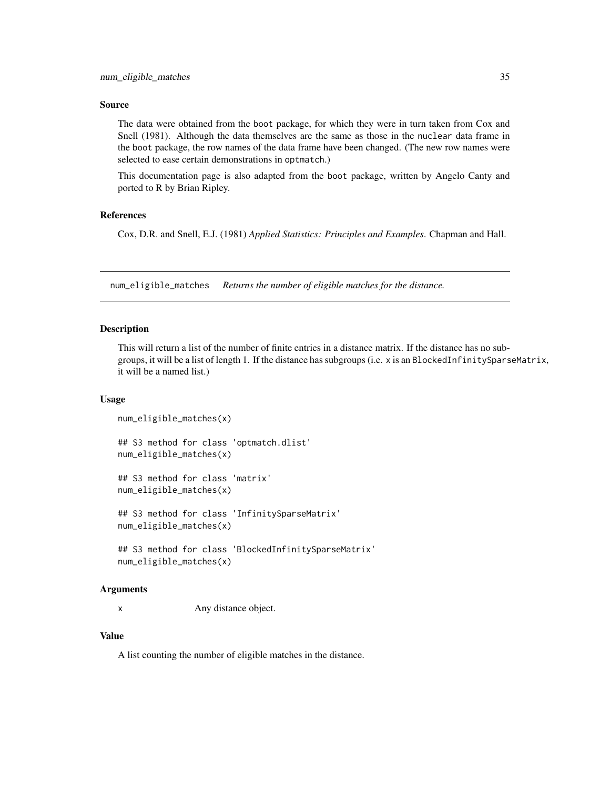#### <span id="page-34-0"></span>Source

The data were obtained from the boot package, for which they were in turn taken from Cox and Snell (1981). Although the data themselves are the same as those in the nuclear data frame in the boot package, the row names of the data frame have been changed. (The new row names were selected to ease certain demonstrations in optmatch.)

This documentation page is also adapted from the boot package, written by Angelo Canty and ported to R by Brian Ripley.

#### References

Cox, D.R. and Snell, E.J. (1981) *Applied Statistics: Principles and Examples*. Chapman and Hall.

num\_eligible\_matches *Returns the number of eligible matches for the distance.*

## Description

This will return a list of the number of finite entries in a distance matrix. If the distance has no subgroups, it will be a list of length 1. If the distance has subgroups (i.e. x is an BlockedInfinitySparseMatrix, it will be a named list.)

#### Usage

```
num_eligible_matches(x)
```
## S3 method for class 'optmatch.dlist' num\_eligible\_matches(x)

## S3 method for class 'matrix' num\_eligible\_matches(x)

## S3 method for class 'InfinitySparseMatrix' num\_eligible\_matches(x)

## S3 method for class 'BlockedInfinitySparseMatrix' num\_eligible\_matches(x)

## Arguments

x Any distance object.

## Value

A list counting the number of eligible matches in the distance.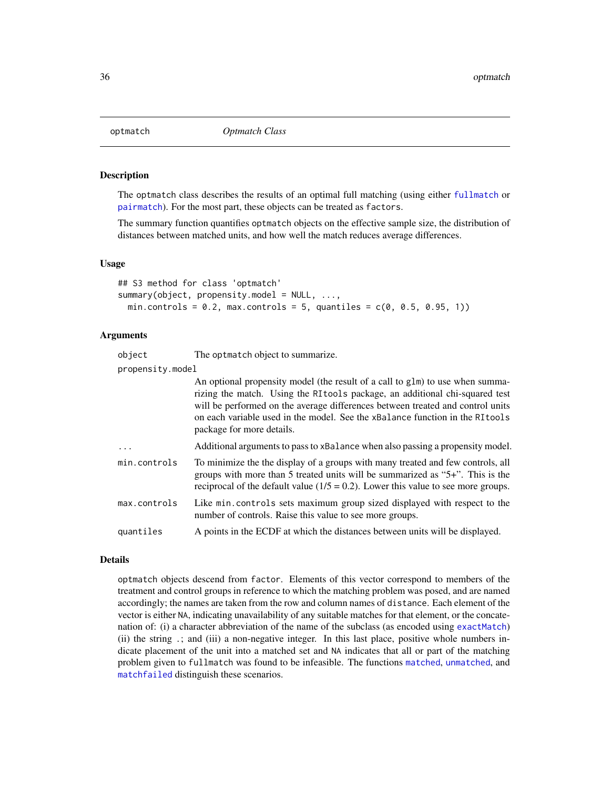<span id="page-35-2"></span><span id="page-35-0"></span>

## <span id="page-35-1"></span>Description

The optmatch class describes the results of an optimal full matching (using either [fullmatch](#page-15-1) or [pairmatch](#page-38-1)). For the most part, these objects can be treated as factors.

The summary function quantifies optmatch objects on the effective sample size, the distribution of distances between matched units, and how well the match reduces average differences.

#### Usage

```
## S3 method for class 'optmatch'
summary(object, propensity.model = NULL, ...,
 min.controls = 0.2, max.controls = 5, quantiles = c(0, 0.5, 0.95, 1))
```
#### Arguments

| object           | The optmatch object to summarize.                                                                                                                                                                                                                                                                                                                             |
|------------------|---------------------------------------------------------------------------------------------------------------------------------------------------------------------------------------------------------------------------------------------------------------------------------------------------------------------------------------------------------------|
| propensity.model |                                                                                                                                                                                                                                                                                                                                                               |
|                  | An optional propensity model (the result of a call to glm) to use when summa-<br>rizing the match. Using the RI tools package, an additional chi-squared test<br>will be performed on the average differences between treated and control units<br>on each variable used in the model. See the xBalance function in the RI tools<br>package for more details. |
| .                | Additional arguments to pass to xBalance when also passing a propensity model.                                                                                                                                                                                                                                                                                |
| min.controls     | To minimize the the display of a groups with many treated and few controls, all<br>groups with more than 5 treated units will be summarized as "5+". This is the<br>reciprocal of the default value $(1/5 = 0.2)$ . Lower this value to see more groups.                                                                                                      |
| max.controls     | Like min.controls sets maximum group sized displayed with respect to the<br>number of controls. Raise this value to see more groups.                                                                                                                                                                                                                          |
| quantiles        | A points in the ECDF at which the distances between units will be displayed.                                                                                                                                                                                                                                                                                  |

#### Details

optmatch objects descend from factor. Elements of this vector correspond to members of the treatment and control groups in reference to which the matching problem was posed, and are named accordingly; the names are taken from the row and column names of distance. Each element of the vector is either NA, indicating unavailability of any suitable matches for that element, or the concatenation of: (i) a character abbreviation of the name of the subclass (as encoded using [exactMatch](#page-11-1)) (ii) the string .; and (iii) a non-negative integer. In this last place, positive whole numbers indicate placement of the unit into a matched set and NA indicates that all or part of the matching problem given to fullmatch was found to be infeasible. The functions [matched](#page-20-1), [unmatched](#page-20-2), and [matchfailed](#page-20-2) distinguish these scenarios.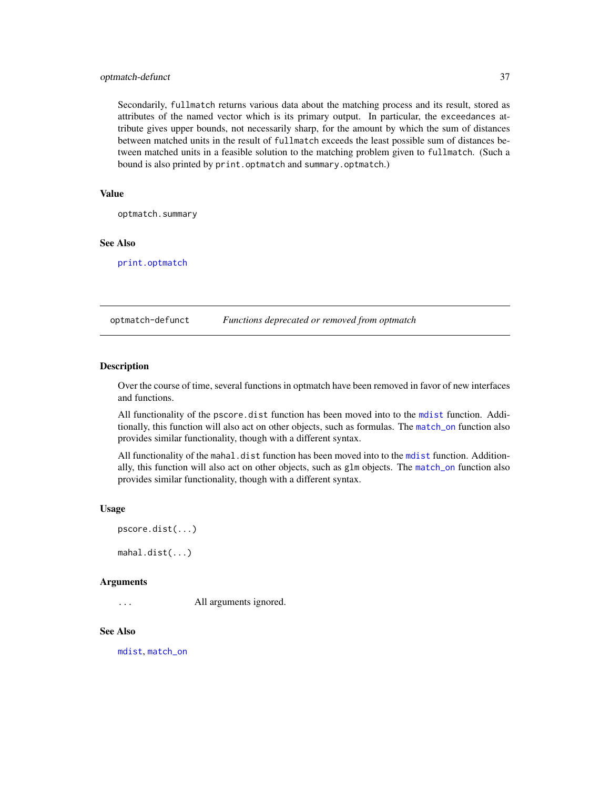## <span id="page-36-0"></span>optmatch-defunct 37

Secondarily, fullmatch returns various data about the matching process and its result, stored as attributes of the named vector which is its primary output. In particular, the exceedances attribute gives upper bounds, not necessarily sharp, for the amount by which the sum of distances between matched units in the result of fullmatch exceeds the least possible sum of distances between matched units in a feasible solution to the matching problem given to fullmatch. (Such a bound is also printed by print.optmatch and summary.optmatch.)

#### Value

optmatch.summary

## See Also

[print.optmatch](#page-42-1)

optmatch-defunct *Functions deprecated or removed from optmatch*

#### Description

Over the course of time, several functions in optmatch have been removed in favor of new interfaces and functions.

All functionality of the pscore.dist function has been moved into to the [mdist](#page-30-1) function. Additionally, this function will also act on other objects, such as formulas. The [match\\_on](#page-23-1) function also provides similar functionality, though with a different syntax.

All functionality of the mahal.dist function has been moved into to the [mdist](#page-30-1) function. Additionally, this function will also act on other objects, such as glm objects. The [match\\_on](#page-23-1) function also provides similar functionality, though with a different syntax.

## Usage

pscore.dist(...)

mahal.dist(...)

#### Arguments

... All arguments ignored.

#### See Also

[mdist](#page-30-1), [match\\_on](#page-23-1)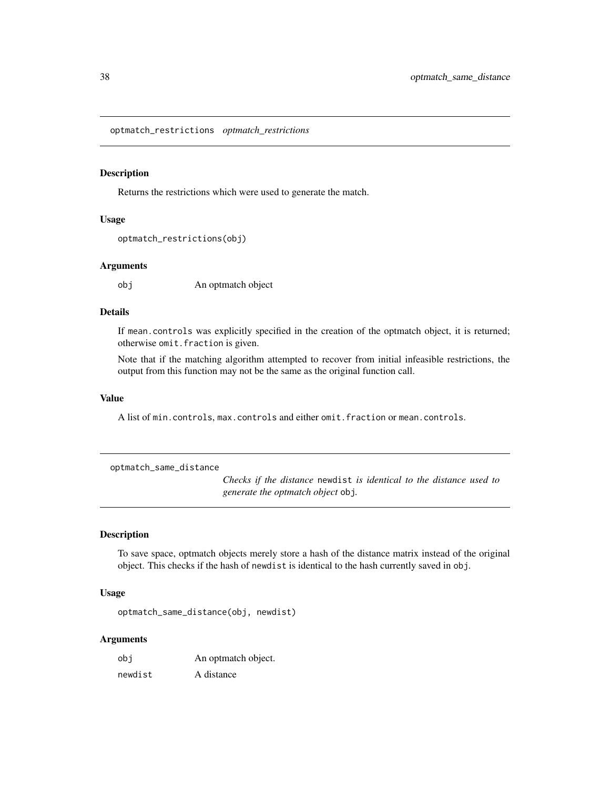<span id="page-37-0"></span>optmatch\_restrictions *optmatch\_restrictions*

#### Description

Returns the restrictions which were used to generate the match.

## Usage

```
optmatch_restrictions(obj)
```
#### Arguments

obj An optmatch object

## Details

If mean.controls was explicitly specified in the creation of the optmatch object, it is returned; otherwise omit.fraction is given.

Note that if the matching algorithm attempted to recover from initial infeasible restrictions, the output from this function may not be the same as the original function call.

#### Value

A list of min.controls, max.controls and either omit.fraction or mean.controls.

optmatch\_same\_distance

*Checks if the distance* newdist *is identical to the distance used to generate the optmatch object* obj*.*

## Description

To save space, optmatch objects merely store a hash of the distance matrix instead of the original object. This checks if the hash of newdist is identical to the hash currently saved in obj.

#### Usage

optmatch\_same\_distance(obj, newdist)

#### Arguments

| obi     | An optmatch object. |
|---------|---------------------|
| newdist | A distance          |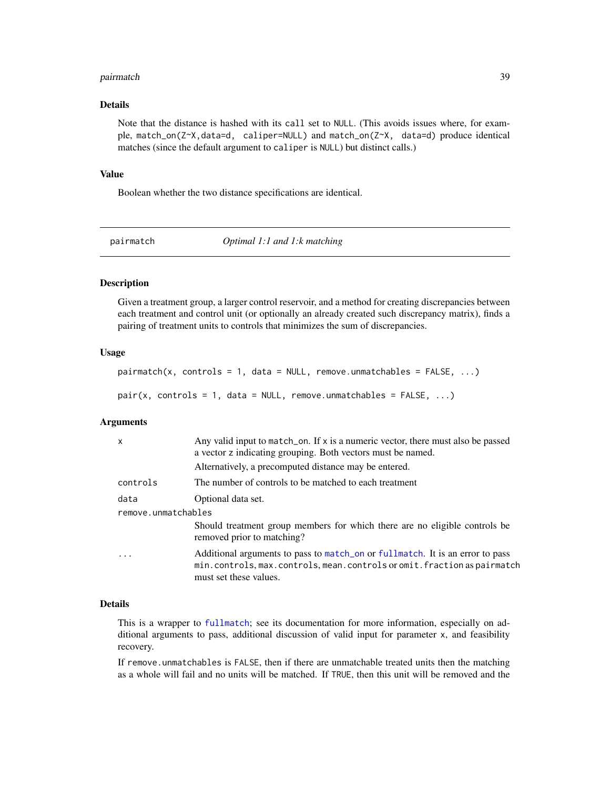#### <span id="page-38-0"></span>pairmatch 39

## Details

Note that the distance is hashed with its call set to NULL. (This avoids issues where, for example, match\_on(Z~X,data=d, caliper=NULL) and match\_on(Z~X, data=d) produce identical matches (since the default argument to caliper is NULL) but distinct calls.)

#### Value

Boolean whether the two distance specifications are identical.

<span id="page-38-1"></span>pairmatch *Optimal 1:1 and 1:k matching*

## Description

Given a treatment group, a larger control reservoir, and a method for creating discrepancies between each treatment and control unit (or optionally an already created such discrepancy matrix), finds a pairing of treatment units to controls that minimizes the sum of discrepancies.

## Usage

```
pairmatch(x, controls = 1, data = NULL, remove.ummatchables = FALSE, ...)pair(x, controls = 1, data = NULL, remove. unmatches = FALSE, ...)
```
#### Arguments

| $\mathsf{x}$        | Any valid input to match_on. If x is a numeric vector, there must also be passed<br>a vector z indicating grouping. Both vectors must be named.                                    |  |
|---------------------|------------------------------------------------------------------------------------------------------------------------------------------------------------------------------------|--|
|                     | Alternatively, a precomputed distance may be entered.                                                                                                                              |  |
| controls            | The number of controls to be matched to each treatment                                                                                                                             |  |
| data                | Optional data set.                                                                                                                                                                 |  |
| remove.unmatchables |                                                                                                                                                                                    |  |
|                     | Should treatment group members for which there are no eligible controls be<br>removed prior to matching?                                                                           |  |
| $\cdot$             | Additional arguments to pass to match_on or fullmatch. It is an error to pass<br>min.controls, max.controls, mean.controls or omit.fraction as pairmatch<br>must set these values. |  |

#### Details

This is a wrapper to [fullmatch](#page-15-1); see its documentation for more information, especially on additional arguments to pass, additional discussion of valid input for parameter x, and feasibility recovery.

If remove.unmatchables is FALSE, then if there are unmatchable treated units then the matching as a whole will fail and no units will be matched. If TRUE, then this unit will be removed and the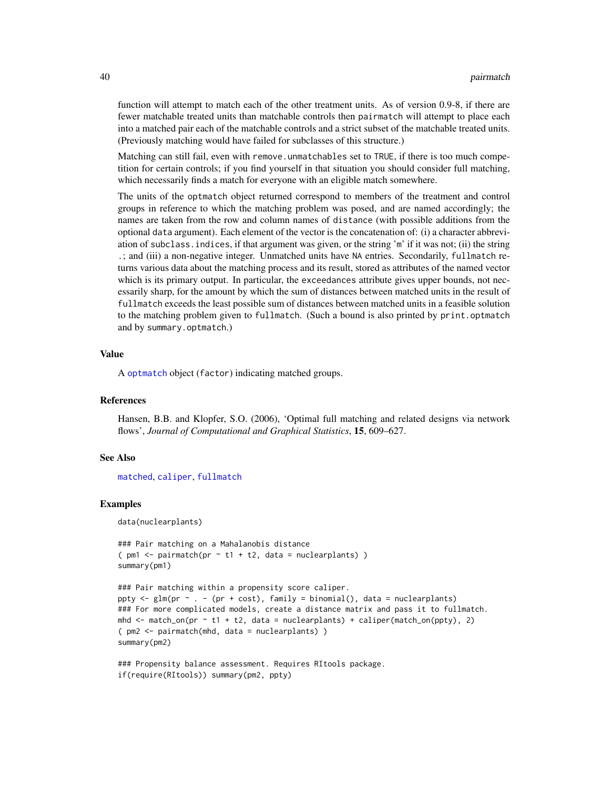function will attempt to match each of the other treatment units. As of version 0.9-8, if there are fewer matchable treated units than matchable controls then pairmatch will attempt to place each into a matched pair each of the matchable controls and a strict subset of the matchable treated units. (Previously matching would have failed for subclasses of this structure.)

Matching can still fail, even with remove. unmatchables set to TRUE, if there is too much competition for certain controls; if you find yourself in that situation you should consider full matching, which necessarily finds a match for everyone with an eligible match somewhere.

The units of the optmatch object returned correspond to members of the treatment and control groups in reference to which the matching problem was posed, and are named accordingly; the names are taken from the row and column names of distance (with possible additions from the optional data argument). Each element of the vector is the concatenation of: (i) a character abbreviation of subclass.indices, if that argument was given, or the string 'm' if it was not; (ii) the string .; and (iii) a non-negative integer. Unmatched units have NA entries. Secondarily, fullmatch returns various data about the matching process and its result, stored as attributes of the named vector which is its primary output. In particular, the exceedances attribute gives upper bounds, not necessarily sharp, for the amount by which the sum of distances between matched units in the result of fullmatch exceeds the least possible sum of distances between matched units in a feasible solution to the matching problem given to fullmatch. (Such a bound is also printed by print.optmatch and by summary.optmatch.)

#### Value

A [optmatch](#page-35-2) object (factor) indicating matched groups.

## References

Hansen, B.B. and Klopfer, S.O. (2006), 'Optimal full matching and related designs via network flows', *Journal of Computational and Graphical Statistics*, 15, 609–627.

#### See Also

[matched](#page-20-1), [caliper](#page-4-1), [fullmatch](#page-15-1)

#### Examples

data(nuclearplants)

```
### Pair matching on a Mahalanobis distance
( pm1 <- pairmatch(pr \sim t1 + t2, data = nuclear plants) )
summary(pm1)
```

```
### Pair matching within a propensity score caliper.
ppty \leq glm(pr \sim . - (pr + cost), family = binomial(), data = nuclearplants)
### For more complicated models, create a distance matrix and pass it to fullmatch.
mhd \leq match_on(pr \sim t1 + t2, data = nuclearplants) + caliper(match_on(ppty), 2)
( pm2 <- pairmatch(mhd, data = nuclearplants) )
summary(pm2)
```

```
### Propensity balance assessment. Requires RItools package.
if(require(RItools)) summary(pm2, ppty)
```
<span id="page-39-0"></span>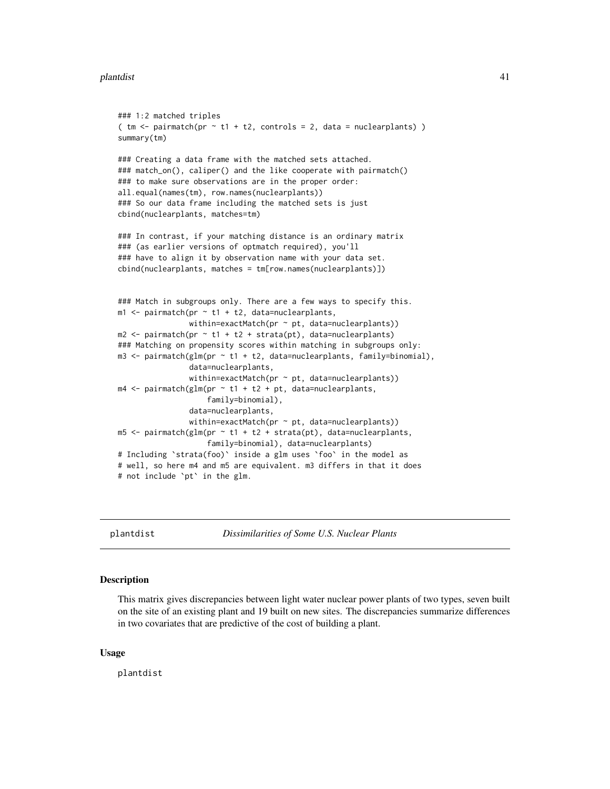#### <span id="page-40-0"></span>plantdist 41

```
### 1:2 matched triples
( tm < pairmatch(pr \sim t1 + t2, controls = 2, data = nuclearplants) )
summary(tm)
### Creating a data frame with the matched sets attached.
### match_on(), caliper() and the like cooperate with pairmatch()
### to make sure observations are in the proper order:
all.equal(names(tm), row.names(nuclearplants))
### So our data frame including the matched sets is just
cbind(nuclearplants, matches=tm)
### In contrast, if your matching distance is an ordinary matrix
### (as earlier versions of optmatch required), you'll
### have to align it by observation name with your data set.
cbind(nuclearplants, matches = tm[row.names(nuclearplants)])
### Match in subgroups only. There are a few ways to specify this.
m1 <- pairmatch(pr \sim t1 + t2, data=nuclearplants,
                within=exactMatch(pr \sim pt, data=nuclearplants))
m2 \le- pairmatch(pr \sim t1 + t2 + strata(pt), data=nuclearplants)
### Matching on propensity scores within matching in subgroups only:
m3 <- pairmatch(glm(pr ~ t1 + t2, data=nuclearplants, family=binomial),
                data=nuclearplants,
                within=exactMatch(pr ~ pt, data=nuclearplants))
m4 \leq pairmatch(glm(pr \sim t1 + t2 + pt, data=nuclearplants,
                    family=binomial),
                data=nuclearplants,
                within=exactMatch(pr \sim pt, data=nuclearplants))
m5 < - pairmatch(glm(pr \sim t1 + t2 + strata(pt), data=nuclearplants,
                    family=binomial), data=nuclearplants)
# Including `strata(foo)` inside a glm uses `foo` in the model as
# well, so here m4 and m5 are equivalent. m3 differs in that it does
# not include `pt` in the glm.
```
plantdist *Dissimilarities of Some U.S. Nuclear Plants*

#### Description

This matrix gives discrepancies between light water nuclear power plants of two types, seven built on the site of an existing plant and 19 built on new sites. The discrepancies summarize differences in two covariates that are predictive of the cost of building a plant.

#### Usage

plantdist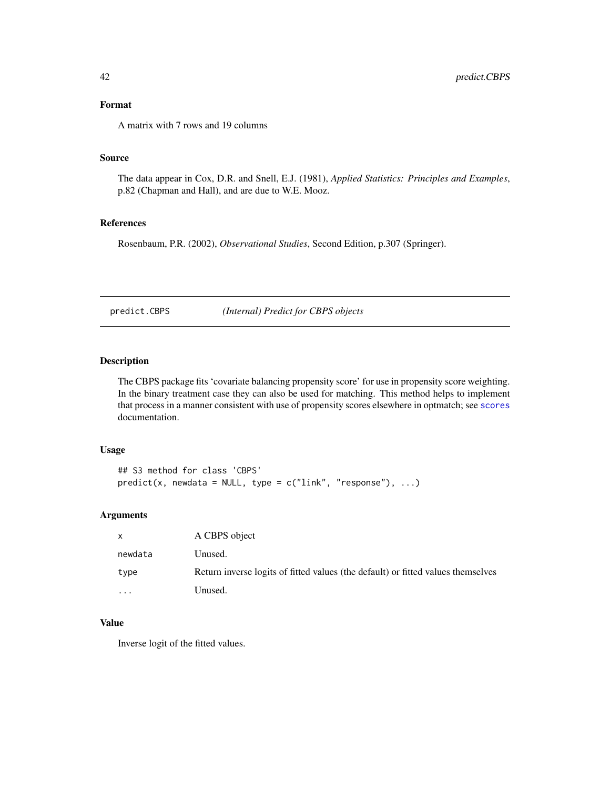## <span id="page-41-0"></span>Format

A matrix with 7 rows and 19 columns

## Source

The data appear in Cox, D.R. and Snell, E.J. (1981), *Applied Statistics: Principles and Examples*, p.82 (Chapman and Hall), and are due to W.E. Mooz.

#### References

Rosenbaum, P.R. (2002), *Observational Studies*, Second Edition, p.307 (Springer).

predict.CBPS *(Internal) Predict for CBPS objects*

## Description

The CBPS package fits 'covariate balancing propensity score' for use in propensity score weighting. In the binary treatment case they can also be used for matching. This method helps to implement that process in a manner consistent with use of propensity scores elsewhere in optmatch; see [scores](#page-43-1) documentation.

## Usage

```
## S3 method for class 'CBPS'
predict(x, newdata = NULL, type = c("link", "response"), ...)
```
## Arguments

| X        | A CBPS object                                                                    |
|----------|----------------------------------------------------------------------------------|
| newdata  | Unused.                                                                          |
| type     | Return inverse logits of fitted values (the default) or fitted values themselves |
| $\cdots$ | Unused.                                                                          |

## Value

Inverse logit of the fitted values.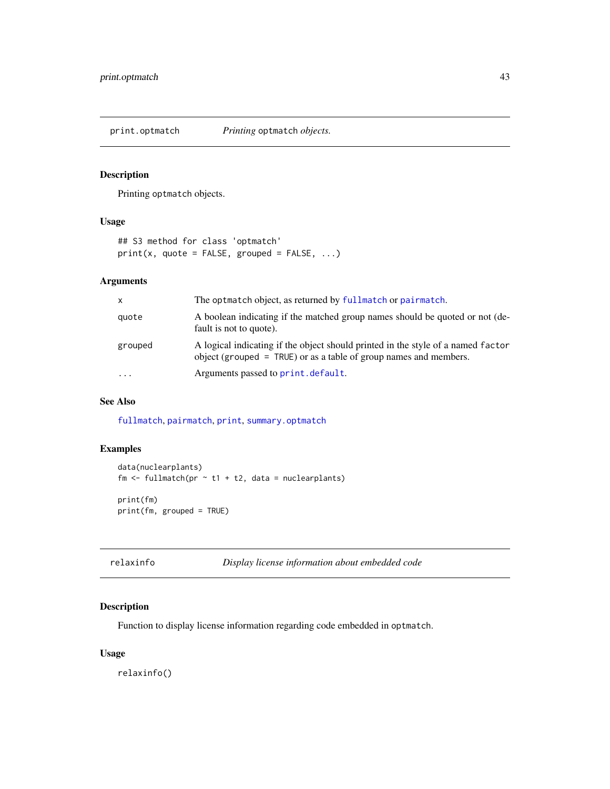<span id="page-42-1"></span><span id="page-42-0"></span>print.optmatch *Printing* optmatch *objects.*

## Description

Printing optmatch objects.

## Usage

```
## S3 method for class 'optmatch'
print(x, quote = FALSE, grouped = FALSE, ...)
```
## Arguments

| X        | The optmatch object, as returned by fullmatch or pairmatch.                                                                                             |
|----------|---------------------------------------------------------------------------------------------------------------------------------------------------------|
| quote    | A boolean indicating if the matched group names should be quoted or not (de-<br>fault is not to quote).                                                 |
| grouped  | A logical indicating if the object should printed in the style of a named factor<br>object (grouped $=$ TRUE) or as a table of group names and members. |
| $\cdots$ | Arguments passed to print. default.                                                                                                                     |

## See Also

[fullmatch](#page-15-1), [pairmatch](#page-38-1), [print](#page-0-0), [summary.optmatch](#page-35-1)

## Examples

```
data(nuclearplants)
fm \leftarrow fullmatch(pr \sim t1 + t2, data = nuclearplants)
print(fm)
print(fm, grouped = TRUE)
```

| relaxinfo | Display license information about embedded code |
|-----------|-------------------------------------------------|
|-----------|-------------------------------------------------|

## Description

Function to display license information regarding code embedded in optmatch.

## Usage

relaxinfo()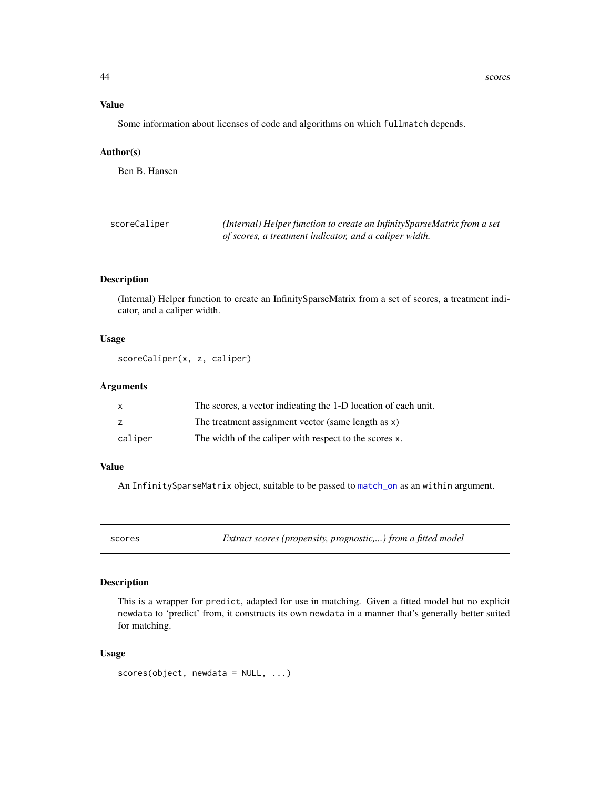## Value

Some information about licenses of code and algorithms on which fullmatch depends.

#### Author(s)

Ben B. Hansen

| scoreCaliper | (Internal) Helper function to create an Infinity Sparse Matrix from a set |
|--------------|---------------------------------------------------------------------------|
|              | of scores, a treatment indicator, and a caliper width.                    |

## Description

(Internal) Helper function to create an InfinitySparseMatrix from a set of scores, a treatment indicator, and a caliper width.

#### Usage

scoreCaliper(x, z, caliper)

## Arguments

|         | The scores, a vector indicating the 1-D location of each unit. |
|---------|----------------------------------------------------------------|
|         | The treatment assignment vector (same length as x)             |
| caliper | The width of the caliper with respect to the scores x.         |

## Value

An InfinitySparseMatrix object, suitable to be passed to [match\\_on](#page-23-1) as an within argument.

<span id="page-43-1"></span>

scores *Extract scores (propensity, prognostic,...) from a fitted model*

## Description

This is a wrapper for predict, adapted for use in matching. Given a fitted model but no explicit newdata to 'predict' from, it constructs its own newdata in a manner that's generally better suited for matching.

## Usage

```
scores(object, newdata = NULL, ...)
```
<span id="page-43-0"></span>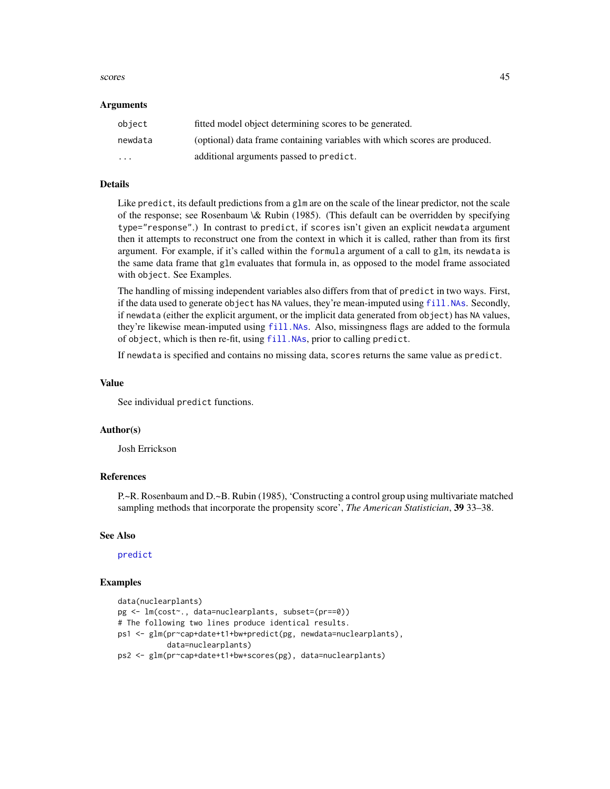#### <span id="page-44-0"></span>scores and the second second second second second second second second second second second second second second second second second second second second second second second second second second second second second seco

#### Arguments

| object  | fitted model object determining scores to be generated.                    |
|---------|----------------------------------------------------------------------------|
| newdata | (optional) data frame containing variables with which scores are produced. |
| $\cdot$ | additional arguments passed to predict.                                    |

## Details

Like predict, its default predictions from a glm are on the scale of the linear predictor, not the scale of the response; see Rosenbaum \& Rubin (1985). (This default can be overridden by specifying type="response".) In contrast to predict, if scores isn't given an explicit newdata argument then it attempts to reconstruct one from the context in which it is called, rather than from its first argument. For example, if it's called within the formula argument of a call to glm, its newdata is the same data frame that glm evaluates that formula in, as opposed to the model frame associated with object. See Examples.

The handling of missing independent variables also differs from that of predict in two ways. First, if the data used to generate object has NA values, they're mean-imputed using [fill.NAs](#page-12-1). Secondly, if newdata (either the explicit argument, or the implicit data generated from object) has NA values, they're likewise mean-imputed using [fill.NAs](#page-12-1). Also, missingness flags are added to the formula of object, which is then re-fit, using [fill.NAs](#page-12-1), prior to calling predict.

If newdata is specified and contains no missing data, scores returns the same value as predict.

#### Value

See individual predict functions.

#### Author(s)

Josh Errickson

## References

P.~R. Rosenbaum and D.~B. Rubin (1985), 'Constructing a control group using multivariate matched sampling methods that incorporate the propensity score', *The American Statistician*, 39 33–38.

#### See Also

## [predict](#page-0-0)

#### Examples

```
data(nuclearplants)
pg <- lm(cost~., data=nuclearplants, subset=(pr==0))
# The following two lines produce identical results.
ps1 <- glm(pr~cap+date+t1+bw+predict(pg, newdata=nuclearplants),
           data=nuclearplants)
ps2 <- glm(pr~cap+date+t1+bw+scores(pg), data=nuclearplants)
```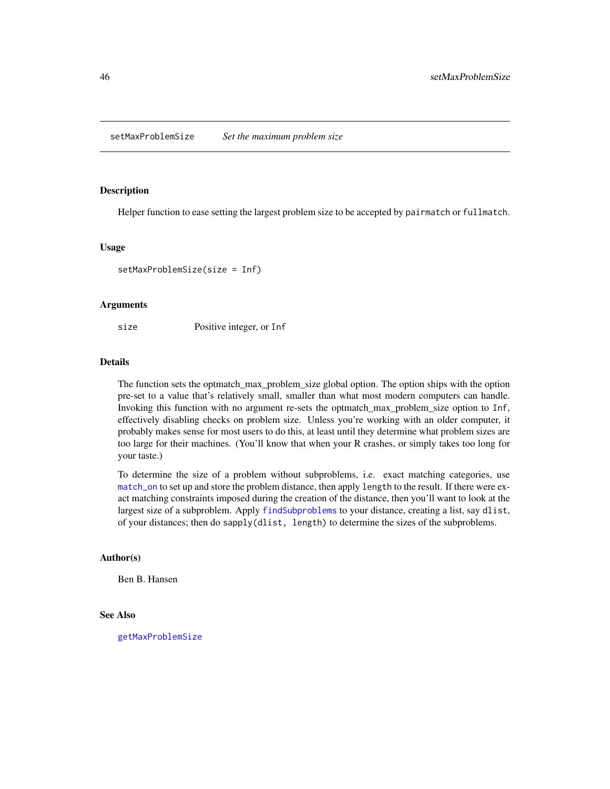<span id="page-45-1"></span><span id="page-45-0"></span>setMaxProblemSize *Set the maximum problem size*

#### Description

Helper function to ease setting the largest problem size to be accepted by pairmatch or fullmatch.

#### Usage

setMaxProblemSize(size = Inf)

#### Arguments

size Positive integer, or Inf

## Details

The function sets the optmatch\_max\_problem\_size global option. The option ships with the option pre-set to a value that's relatively small, smaller than what most modern computers can handle. Invoking this function with no argument re-sets the optmatch\_max\_problem\_size option to Inf, effectively disabling checks on problem size. Unless you're working with an older computer, it probably makes sense for most users to do this, at least until they determine what problem sizes are too large for their machines. (You'll know that when your R crashes, or simply takes too long for your taste.)

To determine the size of a problem without subproblems, i.e. exact matching categories, use [match\\_on](#page-23-1) to set up and store the problem distance, then apply length to the result. If there were exact matching constraints imposed during the creation of the distance, then you'll want to look at the largest size of a subproblem. Apply [findSubproblems](#page-15-2) to your distance, creating a list, say dlist, of your distances; then do sapply(dlist, length) to determine the sizes of the subproblems.

## Author(s)

Ben B. Hansen

#### See Also

[getMaxProblemSize](#page-19-1)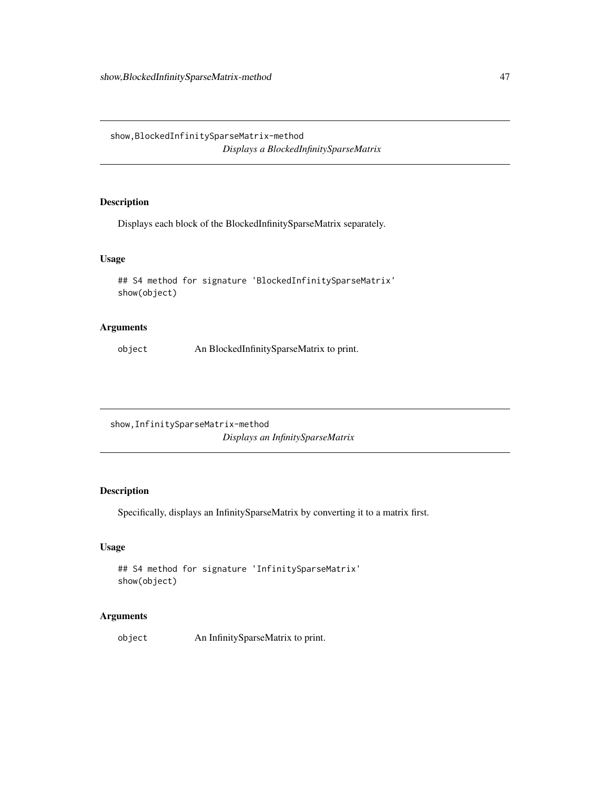<span id="page-46-0"></span>show,BlockedInfinitySparseMatrix-method *Displays a BlockedInfinitySparseMatrix*

## Description

Displays each block of the BlockedInfinitySparseMatrix separately.

## Usage

```
## S4 method for signature 'BlockedInfinitySparseMatrix'
show(object)
```
## Arguments

object An BlockedInfinitySparseMatrix to print.

show,InfinitySparseMatrix-method *Displays an InfinitySparseMatrix*

## Description

Specifically, displays an InfinitySparseMatrix by converting it to a matrix first.

## Usage

```
## S4 method for signature 'InfinitySparseMatrix'
show(object)
```
## Arguments

object An InfinitySparseMatrix to print.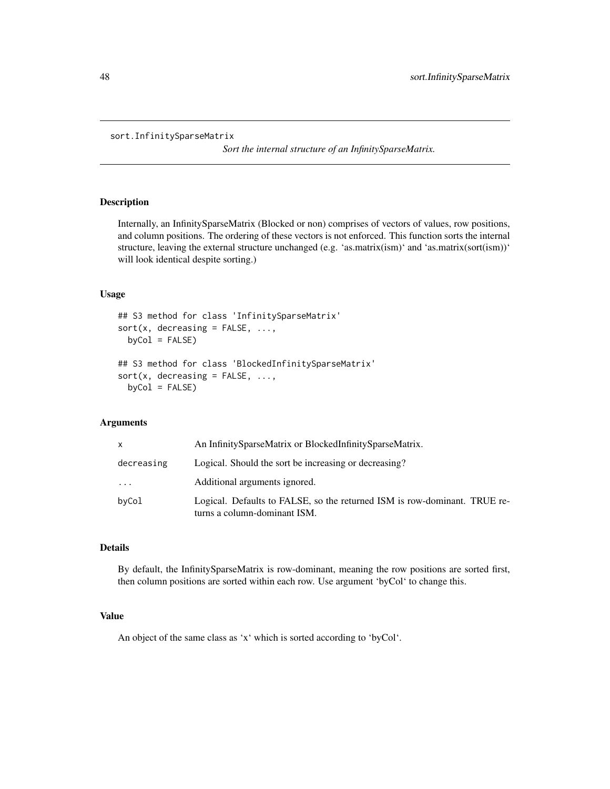```
sort.InfinitySparseMatrix
```
*Sort the internal structure of an InfinitySparseMatrix.*

## Description

Internally, an InfinitySparseMatrix (Blocked or non) comprises of vectors of values, row positions, and column positions. The ordering of these vectors is not enforced. This function sorts the internal structure, leaving the external structure unchanged (e.g. 'as.matrix(ism)' and 'as.matrix(sort(ism))' will look identical despite sorting.)

#### Usage

```
## S3 method for class 'InfinitySparseMatrix'
sort(x, decreasing = FALSE, ...,byCol = FALSE)
## S3 method for class 'BlockedInfinitySparseMatrix'
sort(x, decreasing = FALSE, ...,byCol = FALSE)
```
## Arguments

| X          | An InfinitySparseMatrix or BlockedInfinitySparseMatrix.                                                   |
|------------|-----------------------------------------------------------------------------------------------------------|
| decreasing | Logical. Should the sort be increasing or decreasing?                                                     |
| $\cdot$    | Additional arguments ignored.                                                                             |
| byCol      | Logical. Defaults to FALSE, so the returned ISM is row-dominant. TRUE re-<br>turns a column-dominant ISM. |

## Details

By default, the InfinitySparseMatrix is row-dominant, meaning the row positions are sorted first, then column positions are sorted within each row. Use argument 'byCol' to change this.

## Value

An object of the same class as 'x' which is sorted according to 'byCol'.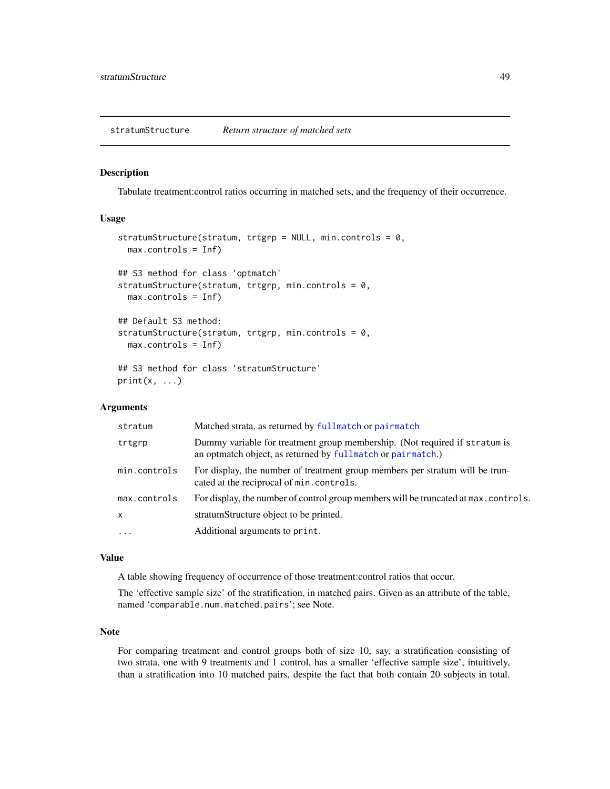#### <span id="page-48-1"></span><span id="page-48-0"></span>Description

Tabulate treatment:control ratios occurring in matched sets, and the frequency of their occurrence.

## Usage

```
stratumStructure(stratum, trtgrp = NULL, min.controls = 0,
  max.controls = Inf)
## S3 method for class 'optmatch'
stratumStructure(stratum, trtgrp, min.controls = 0,
  max.controls = Inf)
## Default S3 method:
stratumStructure(stratum, trtgrp, min.controls = 0,
  max.controls = Inf)
## S3 method for class 'stratumStructure'
print(x, \ldots)
```
#### Arguments

| stratum      | Matched strata, as returned by fullmatch or pairmatch                                                                                     |
|--------------|-------------------------------------------------------------------------------------------------------------------------------------------|
| trtgrp       | Dummy variable for treatment group membership. (Not required if stratum is<br>an optmatch object, as returned by fullmatch or pairmatch.) |
| min.controls | For display, the number of treatment group members per stratum will be trun-<br>cated at the reciprocal of min.controls.                  |
| max.controls | For display, the number of control group members will be truncated at max. controls.                                                      |
| x            | stratumStructure object to be printed.                                                                                                    |
| $\ddots$     | Additional arguments to print.                                                                                                            |

## Value

A table showing frequency of occurrence of those treatment:control ratios that occur.

The 'effective sample size' of the stratification, in matched pairs. Given as an attribute of the table, named 'comparable.num.matched.pairs'; see Note.

## Note

For comparing treatment and control groups both of size 10, say, a stratification consisting of two strata, one with 9 treatments and 1 control, has a smaller 'effective sample size', intuitively, than a stratification into 10 matched pairs, despite the fact that both contain 20 subjects in total.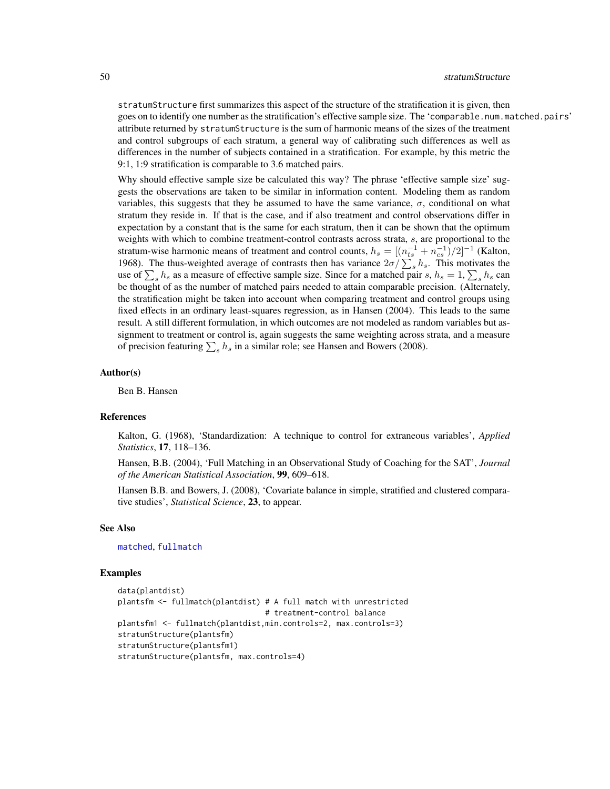stratumStructure first summarizes this aspect of the structure of the stratification it is given, then goes on to identify one number as the stratification's effective sample size. The 'comparable.num.matched.pairs' attribute returned by stratumStructure is the sum of harmonic means of the sizes of the treatment and control subgroups of each stratum, a general way of calibrating such differences as well as differences in the number of subjects contained in a stratification. For example, by this metric the 9:1, 1:9 stratification is comparable to 3.6 matched pairs.

Why should effective sample size be calculated this way? The phrase 'effective sample size' suggests the observations are taken to be similar in information content. Modeling them as random variables, this suggests that they be assumed to have the same variance,  $\sigma$ , conditional on what stratum they reside in. If that is the case, and if also treatment and control observations differ in expectation by a constant that is the same for each stratum, then it can be shown that the optimum weights with which to combine treatment-control contrasts across strata, s, are proportional to the stratum-wise harmonic means of treatment and control counts,  $h_s = \left[ (n_{ts}^{-1} + n_{cs}^{-1})/2 \right]^{-1}$  (Kalton, 1968). The thus-weighted average of contrasts then has variance  $2\sigma/\sum_{s}h_s$ . This motivates the use of  $\sum_s h_s$  as a measure of effective sample size. Since for a matched pair s,  $h_s = 1$ ,  $\sum_s h_s$  can be thought of as the number of matched pairs needed to attain comparable precision. (Alternately, the stratification might be taken into account when comparing treatment and control groups using fixed effects in an ordinary least-squares regression, as in Hansen (2004). This leads to the same result. A still different formulation, in which outcomes are not modeled as random variables but assignment to treatment or control is, again suggests the same weighting across strata, and a measure of precision featuring  $\sum_s h_s$  in a similar role; see Hansen and Bowers (2008).

#### Author(s)

Ben B. Hansen

## References

Kalton, G. (1968), 'Standardization: A technique to control for extraneous variables', *Applied Statistics*, 17, 118–136.

Hansen, B.B. (2004), 'Full Matching in an Observational Study of Coaching for the SAT', *Journal of the American Statistical Association*, 99, 609–618.

Hansen B.B. and Bowers, J. (2008), 'Covariate balance in simple, stratified and clustered comparative studies', *Statistical Science*, 23, to appear.

#### See Also

[matched](#page-20-1), [fullmatch](#page-15-1)

#### Examples

```
data(plantdist)
plantsfm <- fullmatch(plantdist) # A full match with unrestricted
                                 # treatment-control balance
plantsfm1 <- fullmatch(plantdist,min.controls=2, max.controls=3)
stratumStructure(plantsfm)
stratumStructure(plantsfm1)
stratumStructure(plantsfm, max.controls=4)
```
<span id="page-49-0"></span>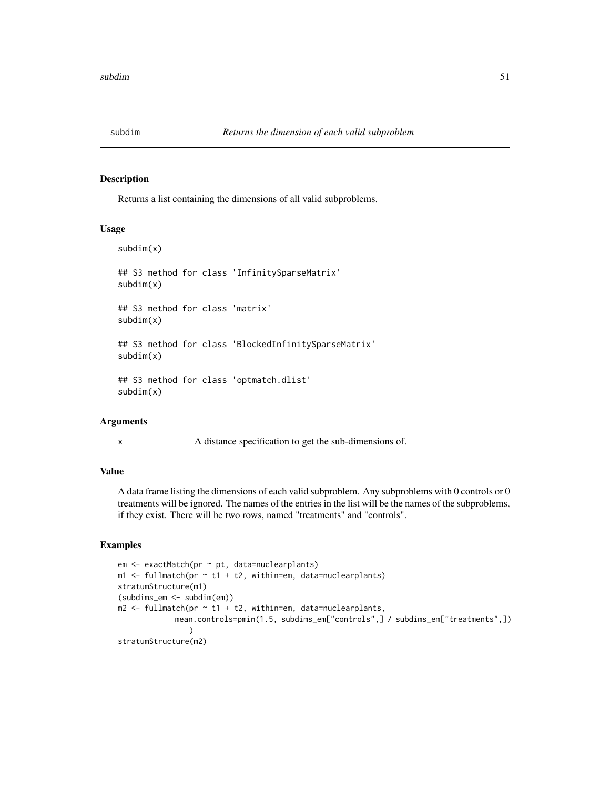<span id="page-50-0"></span>

## Description

Returns a list containing the dimensions of all valid subproblems.

## Usage

```
subdim(x)
## S3 method for class 'InfinitySparseMatrix'
subdim(x)
## S3 method for class 'matrix'
subdim(x)
## S3 method for class 'BlockedInfinitySparseMatrix'
subdim(x)
## S3 method for class 'optmatch.dlist'
subdim(x)
```
## Arguments

x A distance specification to get the sub-dimensions of.

## Value

A data frame listing the dimensions of each valid subproblem. Any subproblems with 0 controls or 0 treatments will be ignored. The names of the entries in the list will be the names of the subproblems, if they exist. There will be two rows, named "treatments" and "controls".

#### Examples

```
em <- exactMatch(pr ~ pt, data=nuclearplants)
m1 <- fullmatch(pr \sim t1 + t2, within=em, data=nuclearplants)
stratumStructure(m1)
(subdims_em <- subdim(em))
m2 < - fullmatch(pr \sim t1 + t2, within=em, data=nuclearplants,
             mean.controls=pmin(1.5, subdims_em["controls",] / subdims_em["treatments",])
                )
stratumStructure(m2)
```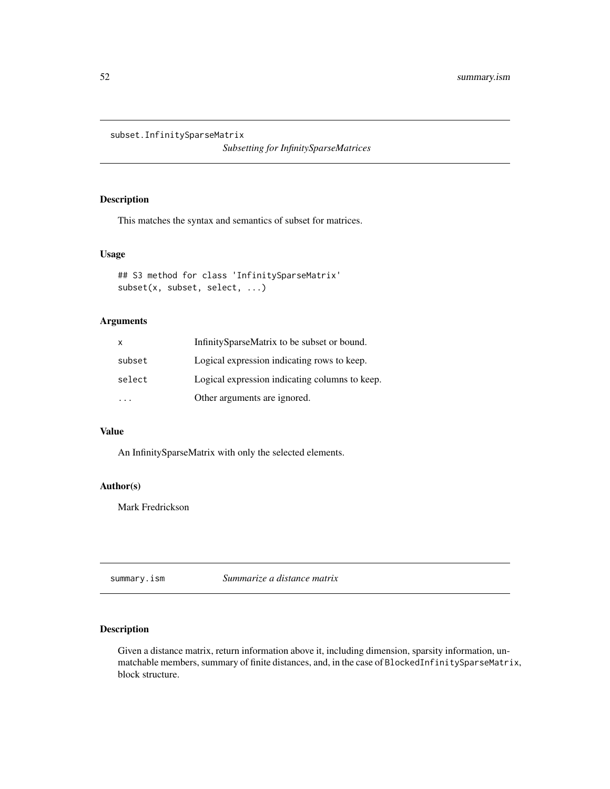<span id="page-51-0"></span>subset.InfinitySparseMatrix

*Subsetting for InfinitySparseMatrices*

## Description

This matches the syntax and semantics of subset for matrices.

#### Usage

```
## S3 method for class 'InfinitySparseMatrix'
subset(x, subset, select, ...)
```
## Arguments

| x      | InfinitySparseMatrix to be subset or bound.    |
|--------|------------------------------------------------|
| subset | Logical expression indicating rows to keep.    |
| select | Logical expression indicating columns to keep. |
|        | Other arguments are ignored.                   |

#### Value

An InfinitySparseMatrix with only the selected elements.

#### Author(s)

Mark Fredrickson

summary.ism *Summarize a distance matrix*

## Description

Given a distance matrix, return information above it, including dimension, sparsity information, unmatchable members, summary of finite distances, and, in the case of BlockedInfinitySparseMatrix, block structure.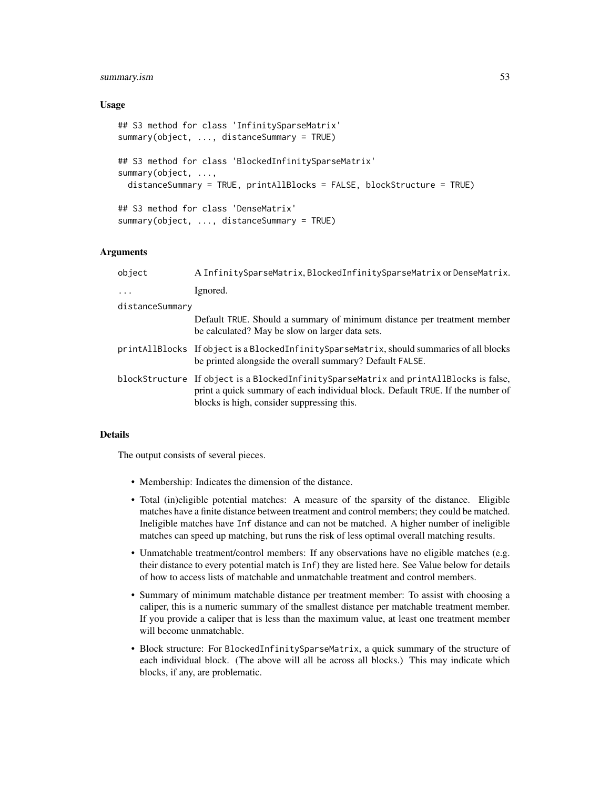#### summary.ism 53

#### Usage

```
## S3 method for class 'InfinitySparseMatrix'
summary(object, ..., distanceSummary = TRUE)
## S3 method for class 'BlockedInfinitySparseMatrix'
summary(object, ...,
  distanceSummary = TRUE, printAllBlocks = FALSE, blockStructure = TRUE)
## S3 method for class 'DenseMatrix'
summary(object, ..., distanceSummary = TRUE)
```
## Arguments

| object          | A InfinitySparseMatrix, BlockedInfinitySparseMatrix or DenseMatrix.                                                                                                                                                    |
|-----------------|------------------------------------------------------------------------------------------------------------------------------------------------------------------------------------------------------------------------|
| $\ddots$        | Ignored.                                                                                                                                                                                                               |
| distanceSummary |                                                                                                                                                                                                                        |
|                 | Default TRUE. Should a summary of minimum distance per treatment member<br>be calculated? May be slow on larger data sets.                                                                                             |
|                 | printAllBlocks If object is a BlockedInfinitySparseMatrix, should summaries of all blocks<br>be printed alongside the overall summary? Default FALSE.                                                                  |
|                 | blockStructure If object is a BlockedInfinitySparseMatrix and printAllBlocks is false,<br>print a quick summary of each individual block. Default TRUE. If the number of<br>blocks is high, consider suppressing this. |

#### Details

The output consists of several pieces.

- Membership: Indicates the dimension of the distance.
- Total (in)eligible potential matches: A measure of the sparsity of the distance. Eligible matches have a finite distance between treatment and control members; they could be matched. Ineligible matches have Inf distance and can not be matched. A higher number of ineligible matches can speed up matching, but runs the risk of less optimal overall matching results.
- Unmatchable treatment/control members: If any observations have no eligible matches (e.g. their distance to every potential match is Inf) they are listed here. See Value below for details of how to access lists of matchable and unmatchable treatment and control members.
- Summary of minimum matchable distance per treatment member: To assist with choosing a caliper, this is a numeric summary of the smallest distance per matchable treatment member. If you provide a caliper that is less than the maximum value, at least one treatment member will become unmatchable.
- Block structure: For BlockedInfinitySparseMatrix, a quick summary of the structure of each individual block. (The above will all be across all blocks.) This may indicate which blocks, if any, are problematic.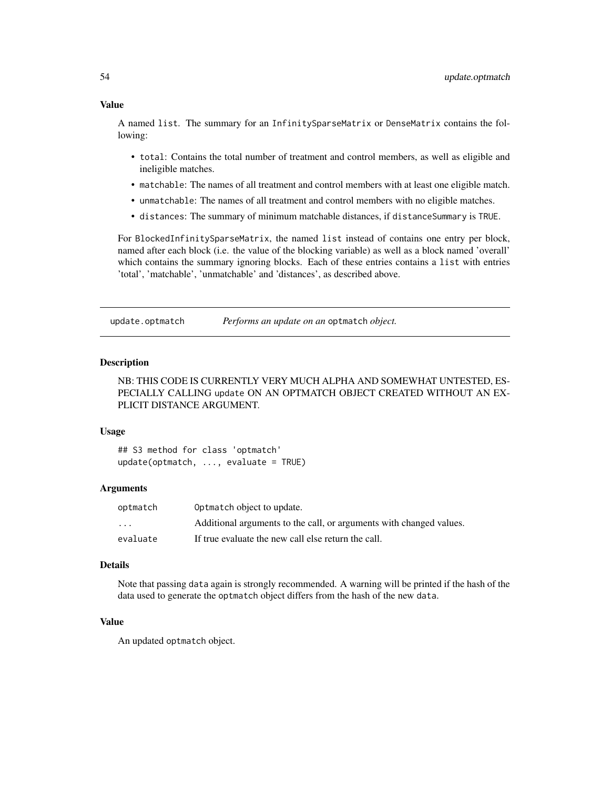## <span id="page-53-0"></span>Value

A named list. The summary for an InfinitySparseMatrix or DenseMatrix contains the following:

- total: Contains the total number of treatment and control members, as well as eligible and ineligible matches.
- matchable: The names of all treatment and control members with at least one eligible match.
- unmatchable: The names of all treatment and control members with no eligible matches.
- distances: The summary of minimum matchable distances, if distanceSummary is TRUE.

For BlockedInfinitySparseMatrix, the named list instead of contains one entry per block, named after each block (i.e. the value of the blocking variable) as well as a block named 'overall' which contains the summary ignoring blocks. Each of these entries contains a list with entries 'total', 'matchable', 'unmatchable' and 'distances', as described above.

update.optmatch *Performs an update on an* optmatch *object.*

#### Description

NB: THIS CODE IS CURRENTLY VERY MUCH ALPHA AND SOMEWHAT UNTESTED, ES-PECIALLY CALLING update ON AN OPTMATCH OBJECT CREATED WITHOUT AN EX-PLICIT DISTANCE ARGUMENT.

#### Usage

## S3 method for class 'optmatch'  $update(optmatch, ..., evaluate = TRUE)$ 

#### Arguments

| optmatch | Optmatch object to update.                                          |
|----------|---------------------------------------------------------------------|
| $\cdot$  | Additional arguments to the call, or arguments with changed values. |
| evaluate | If true evaluate the new call else return the call.                 |

#### Details

Note that passing data again is strongly recommended. A warning will be printed if the hash of the data used to generate the optmatch object differs from the hash of the new data.

#### Value

An updated optmatch object.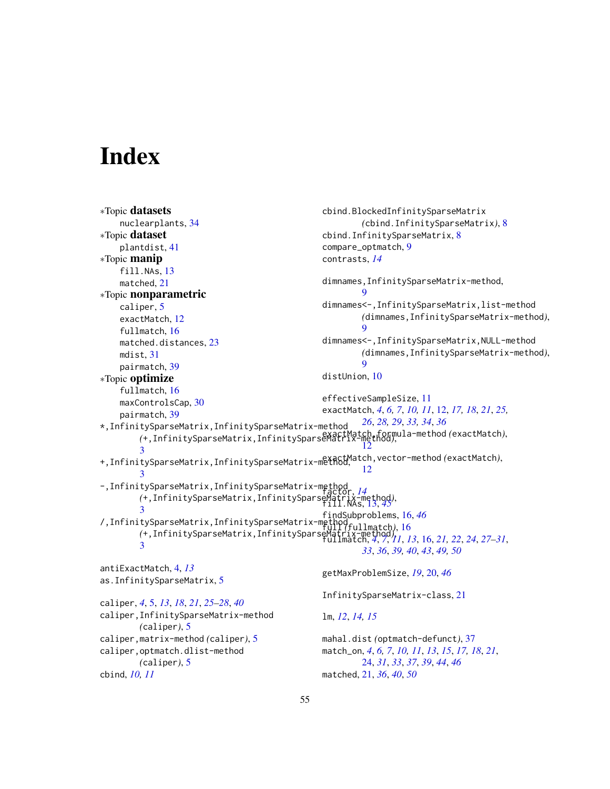# <span id="page-54-0"></span>**Index**

```
∗Topic datasets
    nuclearplants, 34
∗Topic dataset
    plantdist, 41
∗Topic manip
    fill.NAs, 13
    matched, 21
∗Topic nonparametric
    caliper, 5
    exactMatch, 12
    fullmatch, 16
    matched.distances, 23
    mdist, 31
    pairmatch, 39
∗Topic optimize
    fullmatch, 16
    maxControlsCap, 30
    pairmatch, 39
*,InfinitySparseMatrix,InfinitySparseMatrix-method
         (+,InfinitySparseMatrix,InfinitySparseMatrix-method),
exactMatch,formula-method (exactMatch),
         3
+,InfinitySparseMatrix,InfinitySparseMatrix-method,
exactMatch,vector-method (exactMatch),
         3
-,InfinitySparseMatrix,InfinitySparseMatrix-method
factor, 14
         (+,InfinitySparseMatrix,InfinitySparseMatrix-method),
fill.NAs, 13, 45
         3
/,InfinitySparseMatrix,InfinitySparseMatrix-method
full (fullmatch), 16
         (+,InfinitySparseMatrix,InfinitySparseMatrix-method),
fullmatch, 4, 7, 11, 13, 16, 21, 22, 24, 27–31,
        3
antiExactMatch, 4, 13
as.InfinitySparseMatrix, 5
caliper, 4, 5, 13, 18, 21, 25–28, 40
caliper,InfinitySparseMatrix-method
        (caliper), 5
caliper,matrix-method (caliper), 5
caliper,optmatch.dlist-method
        (caliper), 5
cbind, 10, 11
                                                   cbind.BlockedInfinitySparseMatrix
                                                            (cbind.InfinitySparseMatrix), 8
                                                   cbind.InfinitySparseMatrix, 8
                                                   compare_optmatch, 9
                                                   contrasts, 14
                                                   dimnames,InfinitySparseMatrix-method,
                                                            9
                                                   dimnames<-,InfinitySparseMatrix,list-method
                                                            (dimnames,InfinitySparseMatrix-method),
                                                            \mathbf Qdimnames<-,InfinitySparseMatrix,NULL-method
                                                            (dimnames,InfinitySparseMatrix-method),
                                                            9
                                                   distUnion, 10
                                                   effectiveSampleSize, 11
                                                   exactMatch, 4, 6, 7, 10, 11, 12, 17, 18, 21, 25,
                                                            26, 28, 29, 33, 34, 36
                                                            12
                                                            12
                                                   findSubproblems, 16, 46
                                                            33, 36, 39, 40, 43, 49, 50
                                                   getMaxProblemSize, 19, 20, 46
                                                   InfinitySparseMatrix-class, 21
                                                   lm, 12, 14, 15
                                                   mahal.dist (optmatch-defunct), 37
                                                   match_on, 4, 6, 7, 10, 11, 13, 15, 17, 18, 21,
                                                            24, 31, 33, 37, 39, 44, 46
                                                   matched, 21, 36, 40, 50
```